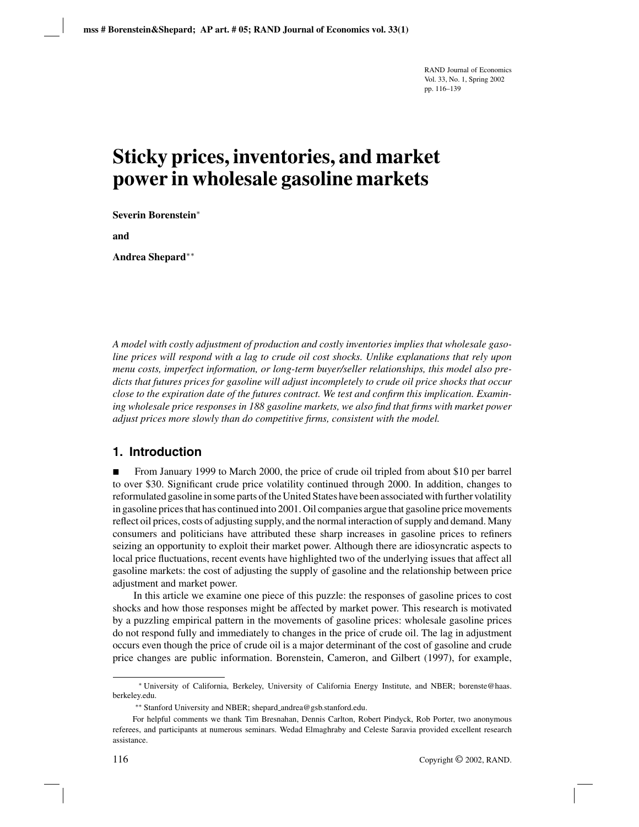# **Sticky prices, inventories, and market power in wholesale gasoline markets**

**Severin Borenstein**<sup>∗</sup>

**and**

**Andrea Shepard**∗∗

*A model with costly adjustment of production and costly inventories implies that wholesale gasoline prices will respond with a lag to crude oil cost shocks. Unlike explanations that rely upon menu costs, imperfect information, or long-term buyer/seller relationships, this model also predicts that futures prices for gasoline will adjust incompletely to crude oil price shocks that occur close to the expiration date of the futures contract. We test and confirm this implication. Examining wholesale price responses in 188 gasoline markets, we also find that firms with market power adjust prices more slowly than do competitive firms, consistent with the model.*

# **1. Introduction**

 From January 1999 to March 2000, the price of crude oil tripled from about \$10 per barrel to over \$30. Significant crude price volatility continued through 2000. In addition, changes to reformulated gasoline in some parts of the United States have been associated with further volatility in gasoline prices that has continued into 2001. Oil companies argue that gasoline price movements reflect oil prices, costs of adjusting supply, and the normal interaction of supply and demand. Many consumers and politicians have attributed these sharp increases in gasoline prices to refiners seizing an opportunity to exploit their market power. Although there are idiosyncratic aspects to local price fluctuations, recent events have highlighted two of the underlying issues that affect all gasoline markets: the cost of adjusting the supply of gasoline and the relationship between price adjustment and market power.

In this article we examine one piece of this puzzle: the responses of gasoline prices to cost shocks and how those responses might be affected by market power. This research is motivated by a puzzling empirical pattern in the movements of gasoline prices: wholesale gasoline prices do not respond fully and immediately to changes in the price of crude oil. The lag in adjustment occurs even though the price of crude oil is a major determinant of the cost of gasoline and crude price changes are public information. Borenstein, Cameron, and Gilbert (1997), for example,

<sup>∗</sup> University of California, Berkeley, University of California Energy Institute, and NBER; borenste@haas. berkeley.edu.

<sup>∗∗</sup> Stanford University and NBER; shepard andrea@gsb.stanford.edu.

For helpful comments we thank Tim Bresnahan, Dennis Carlton, Robert Pindyck, Rob Porter, two anonymous referees, and participants at numerous seminars. Wedad Elmaghraby and Celeste Saravia provided excellent research assistance.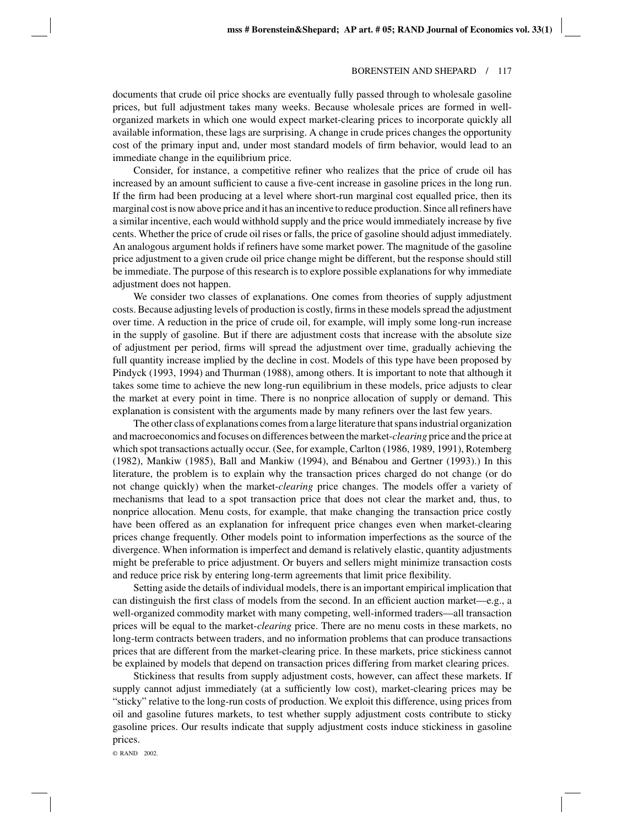documents that crude oil price shocks are eventually fully passed through to wholesale gasoline prices, but full adjustment takes many weeks. Because wholesale prices are formed in wellorganized markets in which one would expect market-clearing prices to incorporate quickly all available information, these lags are surprising. A change in crude prices changes the opportunity cost of the primary input and, under most standard models of firm behavior, would lead to an immediate change in the equilibrium price.

Consider, for instance, a competitive refiner who realizes that the price of crude oil has increased by an amount sufficient to cause a five-cent increase in gasoline prices in the long run. If the firm had been producing at a level where short-run marginal cost equalled price, then its marginal cost is now above price and it has an incentive to reduce production. Since all refiners have a similar incentive, each would withhold supply and the price would immediately increase by five cents. Whether the price of crude oil rises or falls, the price of gasoline should adjust immediately. An analogous argument holds if refiners have some market power. The magnitude of the gasoline price adjustment to a given crude oil price change might be different, but the response should still be immediate. The purpose of this research is to explore possible explanations for why immediate adjustment does not happen.

We consider two classes of explanations. One comes from theories of supply adjustment costs. Because adjusting levels of production is costly, firms in these models spread the adjustment over time. A reduction in the price of crude oil, for example, will imply some long-run increase in the supply of gasoline. But if there are adjustment costs that increase with the absolute size of adjustment per period, firms will spread the adjustment over time, gradually achieving the full quantity increase implied by the decline in cost. Models of this type have been proposed by Pindyck (1993, 1994) and Thurman (1988), among others. It is important to note that although it takes some time to achieve the new long-run equilibrium in these models, price adjusts to clear the market at every point in time. There is no nonprice allocation of supply or demand. This explanation is consistent with the arguments made by many refiners over the last few years.

The other class of explanations comes from a large literature that spans industrial organization and macroeconomics and focuses on differences between the market-*clearing* price and the price at which spot transactions actually occur. (See, for example, Carlton (1986, 1989, 1991), Rotemberg  $(1982)$ , Mankiw  $(1985)$ , Ball and Mankiw  $(1994)$ , and Bénabou and Gertner  $(1993)$ .) In this literature, the problem is to explain why the transaction prices charged do not change (or do not change quickly) when the market-*clearing* price changes. The models offer a variety of mechanisms that lead to a spot transaction price that does not clear the market and, thus, to nonprice allocation. Menu costs, for example, that make changing the transaction price costly have been offered as an explanation for infrequent price changes even when market-clearing prices change frequently. Other models point to information imperfections as the source of the divergence. When information is imperfect and demand is relatively elastic, quantity adjustments might be preferable to price adjustment. Or buyers and sellers might minimize transaction costs and reduce price risk by entering long-term agreements that limit price flexibility.

Setting aside the details of individual models, there is an important empirical implication that can distinguish the first class of models from the second. In an efficient auction market—e.g., a well-organized commodity market with many competing, well-informed traders—all transaction prices will be equal to the market-*clearing* price. There are no menu costs in these markets, no long-term contracts between traders, and no information problems that can produce transactions prices that are different from the market-clearing price. In these markets, price stickiness cannot be explained by models that depend on transaction prices differing from market clearing prices.

Stickiness that results from supply adjustment costs, however, can affect these markets. If supply cannot adjust immediately (at a sufficiently low cost), market-clearing prices may be "sticky" relative to the long-run costs of production. We exploit this difference, using prices from oil and gasoline futures markets, to test whether supply adjustment costs contribute to sticky gasoline prices. Our results indicate that supply adjustment costs induce stickiness in gasoline prices.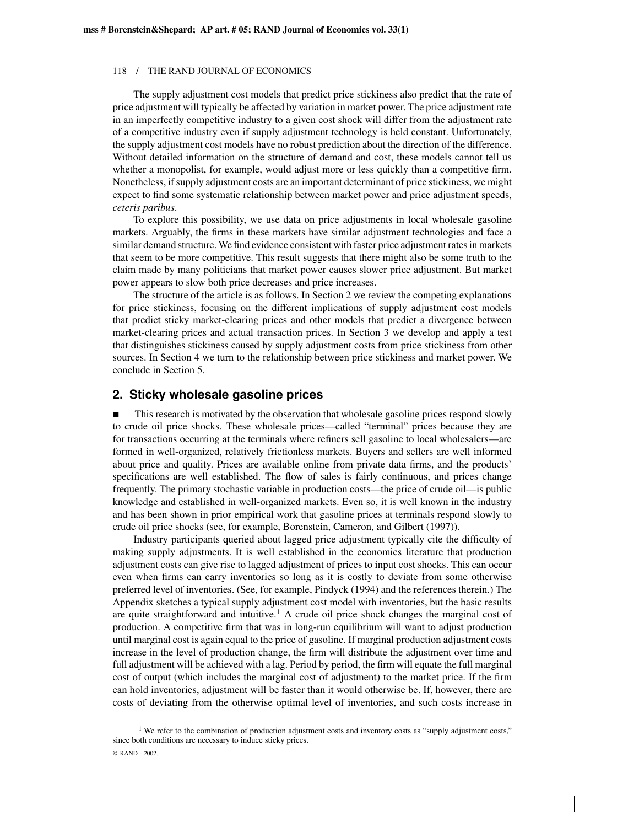The supply adjustment cost models that predict price stickiness also predict that the rate of price adjustment will typically be affected by variation in market power. The price adjustment rate in an imperfectly competitive industry to a given cost shock will differ from the adjustment rate of a competitive industry even if supply adjustment technology is held constant. Unfortunately, the supply adjustment cost models have no robust prediction about the direction of the difference. Without detailed information on the structure of demand and cost, these models cannot tell us whether a monopolist, for example, would adjust more or less quickly than a competitive firm. Nonetheless, if supply adjustment costs are an important determinant of price stickiness, we might expect to find some systematic relationship between market power and price adjustment speeds, *ceteris paribus*.

To explore this possibility, we use data on price adjustments in local wholesale gasoline markets. Arguably, the firms in these markets have similar adjustment technologies and face a similar demand structure. We find evidence consistent with faster price adjustment rates in markets that seem to be more competitive. This result suggests that there might also be some truth to the claim made by many politicians that market power causes slower price adjustment. But market power appears to slow both price decreases and price increases.

The structure of the article is as follows. In Section 2 we review the competing explanations for price stickiness, focusing on the different implications of supply adjustment cost models that predict sticky market-clearing prices and other models that predict a divergence between market-clearing prices and actual transaction prices. In Section 3 we develop and apply a test that distinguishes stickiness caused by supply adjustment costs from price stickiness from other sources. In Section 4 we turn to the relationship between price stickiness and market power. We conclude in Section 5.

## **2. Sticky wholesale gasoline prices**

 This research is motivated by the observation that wholesale gasoline prices respond slowly to crude oil price shocks. These wholesale prices—called "terminal" prices because they are for transactions occurring at the terminals where refiners sell gasoline to local wholesalers—are formed in well-organized, relatively frictionless markets. Buyers and sellers are well informed about price and quality. Prices are available online from private data firms, and the products' specifications are well established. The flow of sales is fairly continuous, and prices change frequently. The primary stochastic variable in production costs—the price of crude oil—is public knowledge and established in well-organized markets. Even so, it is well known in the industry and has been shown in prior empirical work that gasoline prices at terminals respond slowly to crude oil price shocks (see, for example, Borenstein, Cameron, and Gilbert (1997)).

Industry participants queried about lagged price adjustment typically cite the difficulty of making supply adjustments. It is well established in the economics literature that production adjustment costs can give rise to lagged adjustment of prices to input cost shocks. This can occur even when firms can carry inventories so long as it is costly to deviate from some otherwise preferred level of inventories. (See, for example, Pindyck (1994) and the references therein.) The Appendix sketches a typical supply adjustment cost model with inventories, but the basic results are quite straightforward and intuitive.<sup>1</sup> A crude oil price shock changes the marginal cost of production. A competitive firm that was in long-run equilibrium will want to adjust production until marginal cost is again equal to the price of gasoline. If marginal production adjustment costs increase in the level of production change, the firm will distribute the adjustment over time and full adjustment will be achieved with a lag. Period by period, the firm will equate the full marginal cost of output (which includes the marginal cost of adjustment) to the market price. If the firm can hold inventories, adjustment will be faster than it would otherwise be. If, however, there are costs of deviating from the otherwise optimal level of inventories, and such costs increase in

<sup>&</sup>lt;sup>1</sup> We refer to the combination of production adjustment costs and inventory costs as "supply adjustment costs," since both conditions are necessary to induce sticky prices.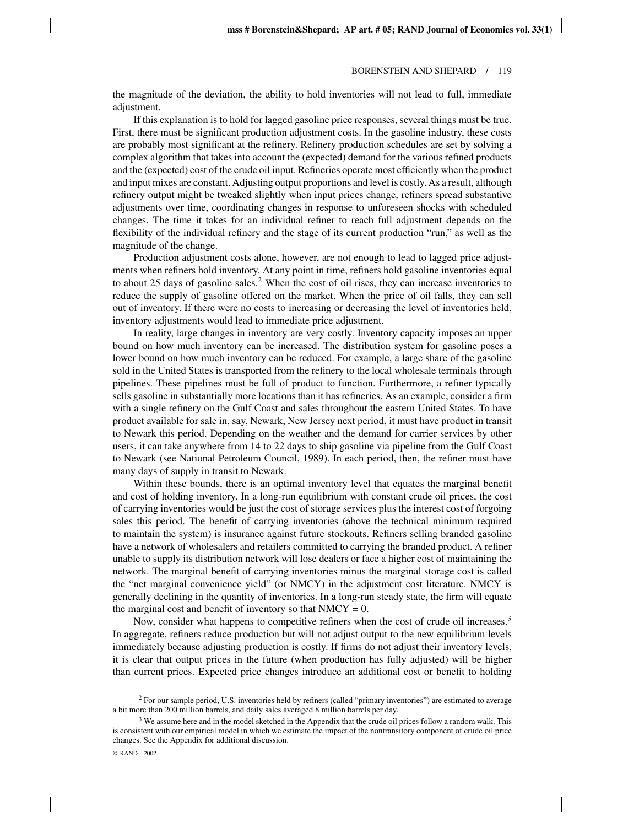the magnitude of the deviation, the ability to hold inventories will not lead to full, immediate adjustment.

If this explanation is to hold for lagged gasoline price responses, several things must be true. First, there must be significant production adjustment costs. In the gasoline industry, these costs are probably most significant at the refinery. Refinery production schedules are set by solving a complex algorithm that takes into account the (expected) demand for the various refined products and the (expected) cost of the crude oil input. Refineries operate most efficiently when the product and input mixes are constant. Adjusting output proportions and level is costly. As a result, although refinery output might be tweaked slightly when input prices change, refiners spread substantive adjustments over time, coordinating changes in response to unforeseen shocks with scheduled changes. The time it takes for an individual refiner to reach full adjustment depends on the flexibility of the individual refinery and the stage of its current production "run," as well as the magnitude of the change.

Production adjustment costs alone, however, are not enough to lead to lagged price adjustments when refiners hold inventory. At any point in time, refiners hold gasoline inventories equal to about 25 days of gasoline sales.<sup>2</sup> When the cost of oil rises, they can increase inventories to reduce the supply of gasoline offered on the market. When the price of oil falls, they can sell out of inventory. If there were no costs to increasing or decreasing the level of inventories held, inventory adjustments would lead to immediate price adjustment.

In reality, large changes in inventory are very costly. Inventory capacity imposes an upper bound on how much inventory can be increased. The distribution system for gasoline poses a lower bound on how much inventory can be reduced. For example, a large share of the gasoline sold in the United States is transported from the refinery to the local wholesale terminals through pipelines. These pipelines must be full of product to function. Furthermore, a refiner typically sells gasoline in substantially more locations than it has refineries. As an example, consider a firm with a single refinery on the Gulf Coast and sales throughout the eastern United States. To have product available for sale in, say, Newark, New Jersey next period, it must have product in transit to Newark this period. Depending on the weather and the demand for carrier services by other users, it can take anywhere from 14 to 22 days to ship gasoline via pipeline from the Gulf Coast to Newark (see National Petroleum Council, 1989). In each period, then, the refiner must have many days of supply in transit to Newark.

Within these bounds, there is an optimal inventory level that equates the marginal benefit and cost of holding inventory. In a long-run equilibrium with constant crude oil prices, the cost of carrying inventories would be just the cost of storage services plus the interest cost of forgoing sales this period. The benefit of carrying inventories (above the technical minimum required to maintain the system) is insurance against future stockouts. Refiners selling branded gasoline have a network of wholesalers and retailers committed to carrying the branded product. A refiner unable to supply its distribution network will lose dealers or face a higher cost of maintaining the network. The marginal benefit of carrying inventories minus the marginal storage cost is called the "net marginal convenience yield" (or NMCY) in the adjustment cost literature. NMCY is generally declining in the quantity of inventories. In a long-run steady state, the firm will equate the marginal cost and benefit of inventory so that  $NMCY = 0$ .

Now, consider what happens to competitive refiners when the cost of crude oil increases.<sup>3</sup> In aggregate, refiners reduce production but will not adjust output to the new equilibrium levels immediately because adjusting production is costly. If firms do not adjust their inventory levels, it is clear that output prices in the future (when production has fully adjusted) will be higher than current prices. Expected price changes introduce an additional cost or benefit to holding

<sup>&</sup>lt;sup>2</sup> For our sample period, U.S. inventories held by refiners (called "primary inventories") are estimated to average a bit more than 200 million barrels, and daily sales averaged 8 million barrels per day.

 $3$  We assume here and in the model sketched in the Appendix that the crude oil prices follow a random walk. This is consistent with our empirical model in which we estimate the impact of the nontransitory component of crude oil price changes. See the Appendix for additional discussion.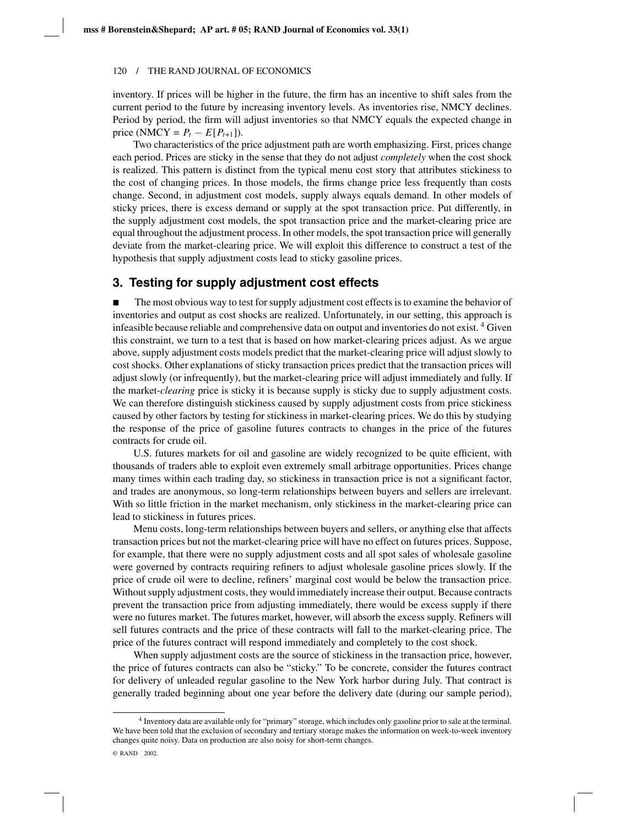inventory. If prices will be higher in the future, the firm has an incentive to shift sales from the current period to the future by increasing inventory levels. As inventories rise, NMCY declines. Period by period, the firm will adjust inventories so that NMCY equals the expected change in price (NMCY =  $P_t - E[P_{t+1}].$ 

Two characteristics of the price adjustment path are worth emphasizing. First, prices change each period. Prices are sticky in the sense that they do not adjust *completely* when the cost shock is realized. This pattern is distinct from the typical menu cost story that attributes stickiness to the cost of changing prices. In those models, the firms change price less frequently than costs change. Second, in adjustment cost models, supply always equals demand. In other models of sticky prices, there is excess demand or supply at the spot transaction price. Put differently, in the supply adjustment cost models, the spot transaction price and the market-clearing price are equal throughout the adjustment process. In other models, the spot transaction price will generally deviate from the market-clearing price. We will exploit this difference to construct a test of the hypothesis that supply adjustment costs lead to sticky gasoline prices.

# **3. Testing for supply adjustment cost effects**

 The most obvious way to test for supply adjustment cost effects is to examine the behavior of inventories and output as cost shocks are realized. Unfortunately, in our setting, this approach is infeasible because reliable and comprehensive data on output and inventories do not exist. <sup>4</sup> Given this constraint, we turn to a test that is based on how market-clearing prices adjust. As we argue above, supply adjustment costs models predict that the market-clearing price will adjust slowly to cost shocks. Other explanations of sticky transaction prices predict that the transaction prices will adjust slowly (or infrequently), but the market-clearing price will adjust immediately and fully. If the market-*clearing* price is sticky it is because supply is sticky due to supply adjustment costs. We can therefore distinguish stickiness caused by supply adjustment costs from price stickiness caused by other factors by testing for stickiness in market-clearing prices. We do this by studying the response of the price of gasoline futures contracts to changes in the price of the futures contracts for crude oil.

U.S. futures markets for oil and gasoline are widely recognized to be quite efficient, with thousands of traders able to exploit even extremely small arbitrage opportunities. Prices change many times within each trading day, so stickiness in transaction price is not a significant factor, and trades are anonymous, so long-term relationships between buyers and sellers are irrelevant. With so little friction in the market mechanism, only stickiness in the market-clearing price can lead to stickiness in futures prices.

Menu costs, long-term relationships between buyers and sellers, or anything else that affects transaction prices but not the market-clearing price will have no effect on futures prices. Suppose, for example, that there were no supply adjustment costs and all spot sales of wholesale gasoline were governed by contracts requiring refiners to adjust wholesale gasoline prices slowly. If the price of crude oil were to decline, refiners' marginal cost would be below the transaction price. Without supply adjustment costs, they would immediately increase their output. Because contracts prevent the transaction price from adjusting immediately, there would be excess supply if there were no futures market. The futures market, however, will absorb the excess supply. Refiners will sell futures contracts and the price of these contracts will fall to the market-clearing price. The price of the futures contract will respond immediately and completely to the cost shock.

When supply adjustment costs are the source of stickiness in the transaction price, however, the price of futures contracts can also be "sticky." To be concrete, consider the futures contract for delivery of unleaded regular gasoline to the New York harbor during July. That contract is generally traded beginning about one year before the delivery date (during our sample period),

<sup>4</sup> Inventory data are available only for "primary" storage, which includes only gasoline prior to sale at the terminal. We have been told that the exclusion of secondary and tertiary storage makes the information on week-to-week inventory changes quite noisy. Data on production are also noisy for short-term changes.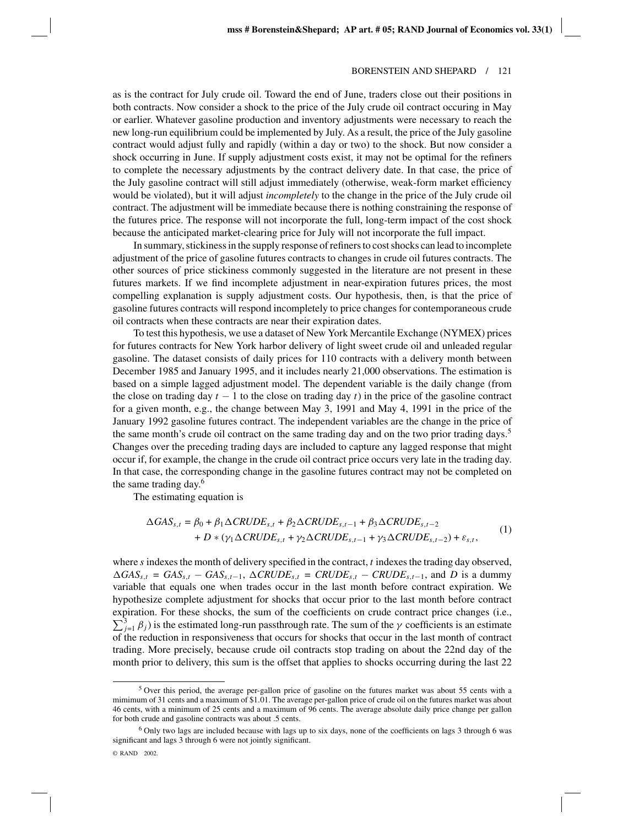as is the contract for July crude oil. Toward the end of June, traders close out their positions in both contracts. Now consider a shock to the price of the July crude oil contract occuring in May or earlier. Whatever gasoline production and inventory adjustments were necessary to reach the new long-run equilibrium could be implemented by July. As a result, the price of the July gasoline contract would adjust fully and rapidly (within a day or two) to the shock. But now consider a shock occurring in June. If supply adjustment costs exist, it may not be optimal for the refiners to complete the necessary adjustments by the contract delivery date. In that case, the price of the July gasoline contract will still adjust immediately (otherwise, weak-form market efficiency would be violated), but it will adjust *incompletely* to the change in the price of the July crude oil contract. The adjustment will be immediate because there is nothing constraining the response of the futures price. The response will not incorporate the full, long-term impact of the cost shock because the anticipated market-clearing price for July will not incorporate the full impact.

In summary, stickiness in the supply response of refiners to cost shocks can lead to incomplete adjustment of the price of gasoline futures contracts to changes in crude oil futures contracts. The other sources of price stickiness commonly suggested in the literature are not present in these futures markets. If we find incomplete adjustment in near-expiration futures prices, the most compelling explanation is supply adjustment costs. Our hypothesis, then, is that the price of gasoline futures contracts will respond incompletely to price changes for contemporaneous crude oil contracts when these contracts are near their expiration dates.

To test this hypothesis, we use a dataset of New York Mercantile Exchange (NYMEX) prices for futures contracts for New York harbor delivery of light sweet crude oil and unleaded regular gasoline. The dataset consists of daily prices for 110 contracts with a delivery month between December 1985 and January 1995, and it includes nearly 21,000 observations. The estimation is based on a simple lagged adjustment model. The dependent variable is the daily change (from the close on trading day  $t - 1$  to the close on trading day  $t$ ) in the price of the gasoline contract for a given month, e.g., the change between May 3, 1991 and May 4, 1991 in the price of the January 1992 gasoline futures contract. The independent variables are the change in the price of the same month's crude oil contract on the same trading day and on the two prior trading days.<sup>5</sup> Changes over the preceding trading days are included to capture any lagged response that might occur if, for example, the change in the crude oil contract price occurs very late in the trading day. In that case, the corresponding change in the gasoline futures contract may not be completed on the same trading day.<sup>6</sup>

The estimating equation is

$$
\Delta GAS_{s,t} = \beta_0 + \beta_1 \Delta CRUDE_{s,t} + \beta_2 \Delta CRUDE_{s,t-1} + \beta_3 \Delta CRUDE_{s,t-2}
$$
  
+  $D * (\gamma_1 \Delta CRUDE_{s,t} + \gamma_2 \Delta CRUDE_{s,t-1} + \gamma_3 \Delta CRUDE_{s,t-2}) + \varepsilon_{s,t},$  (1)

where *s* indexes the month of delivery specified in the contract, *t* indexes the trading day observed,  $\Delta GAS_{s,t} = GAS_{s,t} - GAS_{s,t-1}$ ,  $\Delta CRUDE_{s,t} = CRUDE_{s,t} - CRUDE_{s,t-1}$ , and *D* is a dummy variable that equals one when trades occur in the last month before contract expiration. We hypothesize complete adjustment for shocks that occur prior to the last month before contract e xpiration. For these shocks, the sum of the coefficients on crude contract price changes (i.e.,  $\sum_{j=1}^3 \beta_j$ ) is the estimated long-run passthrough rate. The sum of the  $\gamma$  coefficients is an estimate of the reduction in responsiveness that occurs for shocks that occur in the last month of contract trading. More precisely, because crude oil contracts stop trading on about the 22nd day of the month prior to delivery, this sum is the offset that applies to shocks occurring during the last 22

<sup>5</sup> Over this period, the average per-gallon price of gasoline on the futures market was about 55 cents with a mimimum of 31 cents and a maximum of \$1.01. The average per-gallon price of crude oil on the futures market was about 46 cents, with a minimum of 25 cents and a maximum of 96 cents. The average absolute daily price change per gallon for both crude and gasoline contracts was about .5 cents.

<sup>6</sup> Only two lags are included because with lags up to six days, none of the coefficients on lags 3 through 6 was significant and lags 3 through 6 were not jointly significant.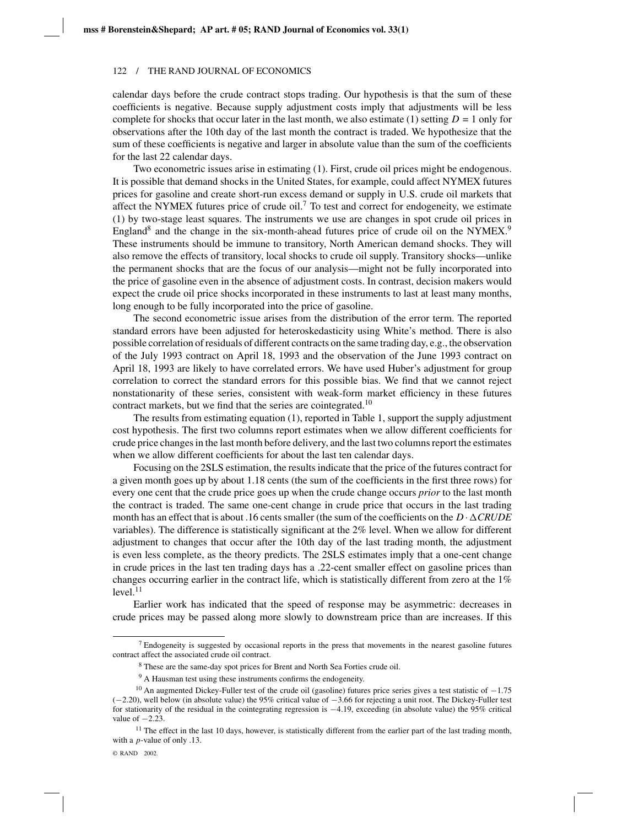calendar days before the crude contract stops trading. Our hypothesis is that the sum of these coefficients is negative. Because supply adjustment costs imply that adjustments will be less complete for shocks that occur later in the last month, we also estimate (1) setting  $D = 1$  only for observations after the 10th day of the last month the contract is traded. We hypothesize that the sum of these coefficients is negative and larger in absolute value than the sum of the coefficients for the last 22 calendar days.

Two econometric issues arise in estimating (1). First, crude oil prices might be endogenous. It is possible that demand shocks in the United States, for example, could affect NYMEX futures prices for gasoline and create short-run excess demand or supply in U.S. crude oil markets that affect the NYMEX futures price of crude oil.<sup>7</sup> To test and correct for endogeneity, we estimate (1) by two-stage least squares. The instruments we use are changes in spot crude oil prices in England<sup>8</sup> and the change in the six-month-ahead futures price of crude oil on the NYMEX.<sup>9</sup> These instruments should be immune to transitory, North American demand shocks. They will also remove the effects of transitory, local shocks to crude oil supply. Transitory shocks—unlike the permanent shocks that are the focus of our analysis—might not be fully incorporated into the price of gasoline even in the absence of adjustment costs. In contrast, decision makers would expect the crude oil price shocks incorporated in these instruments to last at least many months, long enough to be fully incorporated into the price of gasoline.

The second econometric issue arises from the distribution of the error term. The reported standard errors have been adjusted for heteroskedasticity using White's method. There is also possible correlation of residuals of different contracts on the same trading day, e.g., the observation of the July 1993 contract on April 18, 1993 and the observation of the June 1993 contract on April 18, 1993 are likely to have correlated errors. We have used Huber's adjustment for group correlation to correct the standard errors for this possible bias. We find that we cannot reject nonstationarity of these series, consistent with weak-form market efficiency in these futures contract markets, but we find that the series are cointegrated.<sup>10</sup>

The results from estimating equation (1), reported in Table 1, support the supply adjustment cost hypothesis. The first two columns report estimates when we allow different coefficients for crude price changes in the last month before delivery, and the last two columns report the estimates when we allow different coefficients for about the last ten calendar days.

Focusing on the 2SLS estimation, the results indicate that the price of the futures contract for a given month goes up by about 1.18 cents (the sum of the coefficients in the first three rows) for every one cent that the crude price goes up when the crude change occurs *prior* to the last month the contract is traded. The same one-cent change in crude price that occurs in the last trading month has an effect that is about .16 cents smaller (the sum of the coefficients on the  $D \cdot \Delta CRUDE$ variables). The difference is statistically significant at the 2% level. When we allow for different adjustment to changes that occur after the 10th day of the last trading month, the adjustment is even less complete, as the theory predicts. The 2SLS estimates imply that a one-cent change in crude prices in the last ten trading days has a .22-cent smaller effect on gasoline prices than changes occurring earlier in the contract life, which is statistically different from zero at the 1%  $level.<sup>11</sup>$ 

Earlier work has indicated that the speed of response may be asymmetric: decreases in crude prices may be passed along more slowly to downstream price than are increases. If this

<sup>7</sup> Endogeneity is suggested by occasional reports in the press that movements in the nearest gasoline futures contract affect the associated crude oil contract.

<sup>8</sup> These are the same-day spot prices for Brent and North Sea Forties crude oil.

<sup>&</sup>lt;sup>9</sup> A Hausman test using these instruments confirms the endogeneity.

<sup>&</sup>lt;sup>10</sup> An augmented Dickey-Fuller test of the crude oil (gasoline) futures price series gives a test statistic of  $-1.75$ (−2.20), well below (in absolute value) the 95% critical value of −3.66 for rejecting a unit root. The Dickey-Fuller test for stationarity of the residual in the cointegrating regression is −4.19, exceeding (in absolute value) the 95% critical value of  $-2.23$ .

 $11$  The effect in the last 10 days, however, is statistically different from the earlier part of the last trading month, with a *p*-value of only .13.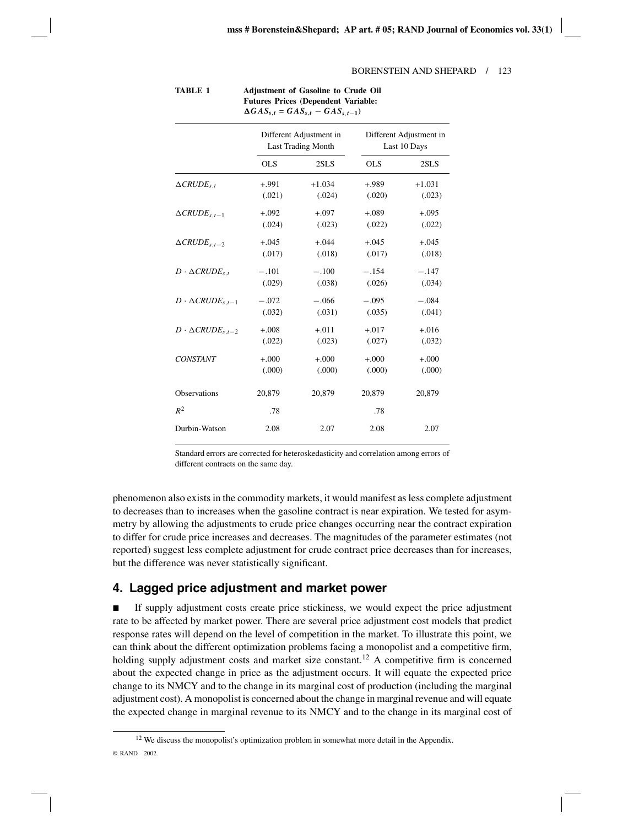|                                    | Different Adjustment in<br><b>Last Trading Month</b> |          | Different Adjustment in<br>Last 10 Days |          |  |
|------------------------------------|------------------------------------------------------|----------|-----------------------------------------|----------|--|
|                                    | <b>OLS</b>                                           | 2SLS     | <b>OLS</b>                              | 2SLS     |  |
| $\triangle$ CRUDE <sub>s.t</sub>   | $+.991$                                              | $+1.034$ | +.989                                   | $+1.031$ |  |
|                                    | (.021)                                               | (.024)   | (.020)                                  | (.023)   |  |
| $\triangle$ CRUDE <sub>s.t-1</sub> | $+.092$                                              | $+.097$  | $+.089$                                 | $+.095$  |  |
|                                    | (.024)                                               | (.023)   | (.022)                                  | (.022)   |  |
| $\triangle$ CRUDE <sub>s.t-2</sub> | $+.045$                                              | $+.044$  | $+.045$                                 | $+.045$  |  |
|                                    | (.017)                                               | (.018)   | (.017)                                  | (.018)   |  |
| $D \cdot \Delta CRUDE_{s,t}$       | $-.101$                                              | $-.100$  | $-.154$                                 | $-.147$  |  |
|                                    | (.029)                                               | (.038)   | (.026)                                  | (.034)   |  |
| $D \cdot \Delta CRUDE_{s,t-1}$     | $-.072$                                              | $-.066$  | $-.095$                                 | $-.084$  |  |
|                                    | (.032)                                               | (.031)   | (.035)                                  | (.041)   |  |
| $D \cdot \Delta CRUDE_{s,t-2}$     | $+.008$                                              | $+.011$  | $+.017$                                 | $+.016$  |  |
|                                    | (.022)                                               | (.023)   | (.027)                                  | (.032)   |  |
| <b>CONSTANT</b>                    | $+.000$                                              | $+.000$  | $+.000$                                 | $+.000$  |  |
|                                    | (.000)                                               | (.000)   | (.000)                                  | (.000)   |  |
| <b>Observations</b>                | 20,879                                               | 20,879   | 20,879                                  | 20,879   |  |
| $R^2$                              | .78                                                  |          | .78                                     |          |  |
| Durbin-Watson                      | 2.08                                                 | 2.07     | 2.08                                    | 2.07     |  |

| TABLE 1 | <b>Adjustment of Gasoline to Crude Oil</b>   |
|---------|----------------------------------------------|
|         | <b>Futures Prices (Dependent Variable:</b>   |
|         | $\Delta GAS_{s,t} = GAS_{s,t} - GAS_{s,t-1}$ |

Standard errors are corrected for heteroskedasticity and correlation among errors of different contracts on the same day.

phenomenon also exists in the commodity markets, it would manifest as less complete adjustment to decreases than to increases when the gasoline contract is near expiration. We tested for asymmetry by allowing the adjustments to crude price changes occurring near the contract expiration to differ for crude price increases and decreases. The magnitudes of the parameter estimates (not reported) suggest less complete adjustment for crude contract price decreases than for increases, but the difference was never statistically significant.

# **4. Lagged price adjustment and market power**

 If supply adjustment costs create price stickiness, we would expect the price adjustment rate to be affected by market power. There are several price adjustment cost models that predict response rates will depend on the level of competition in the market. To illustrate this point, we can think about the different optimization problems facing a monopolist and a competitive firm, holding supply adjustment costs and market size constant.<sup>12</sup> A competitive firm is concerned about the expected change in price as the adjustment occurs. It will equate the expected price change to its NMCY and to the change in its marginal cost of production (including the marginal adjustment cost). A monopolist is concerned about the change in marginal revenue and will equate the expected change in marginal revenue to its NMCY and to the change in its marginal cost of

<sup>&</sup>lt;sup>12</sup> We discuss the monopolist's optimization problem in somewhat more detail in the Appendix. © RAND 2002.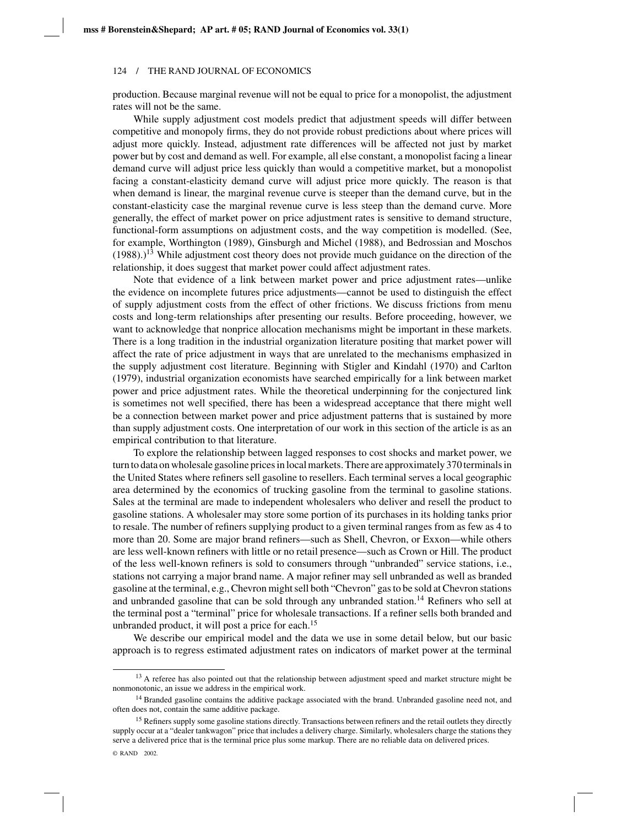production. Because marginal revenue will not be equal to price for a monopolist, the adjustment rates will not be the same.

While supply adjustment cost models predict that adjustment speeds will differ between competitive and monopoly firms, they do not provide robust predictions about where prices will adjust more quickly. Instead, adjustment rate differences will be affected not just by market power but by cost and demand as well. For example, all else constant, a monopolist facing a linear demand curve will adjust price less quickly than would a competitive market, but a monopolist facing a constant-elasticity demand curve will adjust price more quickly. The reason is that when demand is linear, the marginal revenue curve is steeper than the demand curve, but in the constant-elasticity case the marginal revenue curve is less steep than the demand curve. More generally, the effect of market power on price adjustment rates is sensitive to demand structure, functional-form assumptions on adjustment costs, and the way competition is modelled. (See, for example, Worthington (1989), Ginsburgh and Michel (1988), and Bedrossian and Moschos  $(1988)$ .)<sup>13</sup> While adjustment cost theory does not provide much guidance on the direction of the relationship, it does suggest that market power could affect adjustment rates.

Note that evidence of a link between market power and price adjustment rates—unlike the evidence on incomplete futures price adjustments—cannot be used to distinguish the effect of supply adjustment costs from the effect of other frictions. We discuss frictions from menu costs and long-term relationships after presenting our results. Before proceeding, however, we want to acknowledge that nonprice allocation mechanisms might be important in these markets. There is a long tradition in the industrial organization literature positing that market power will affect the rate of price adjustment in ways that are unrelated to the mechanisms emphasized in the supply adjustment cost literature. Beginning with Stigler and Kindahl (1970) and Carlton (1979), industrial organization economists have searched empirically for a link between market power and price adjustment rates. While the theoretical underpinning for the conjectured link is sometimes not well specified, there has been a widespread acceptance that there might well be a connection between market power and price adjustment patterns that is sustained by more than supply adjustment costs. One interpretation of our work in this section of the article is as an empirical contribution to that literature.

To explore the relationship between lagged responses to cost shocks and market power, we turn to data on wholesale gasoline prices in local markets. There are approximately 370 terminals in the United States where refiners sell gasoline to resellers. Each terminal serves a local geographic area determined by the economics of trucking gasoline from the terminal to gasoline stations. Sales at the terminal are made to independent wholesalers who deliver and resell the product to gasoline stations. A wholesaler may store some portion of its purchases in its holding tanks prior to resale. The number of refiners supplying product to a given terminal ranges from as few as 4 to more than 20. Some are major brand refiners—such as Shell, Chevron, or Exxon—while others are less well-known refiners with little or no retail presence—such as Crown or Hill. The product of the less well-known refiners is sold to consumers through "unbranded" service stations, i.e., stations not carrying a major brand name. A major refiner may sell unbranded as well as branded gasoline at the terminal, e.g., Chevron might sell both "Chevron" gas to be sold at Chevron stations and unbranded gasoline that can be sold through any unbranded station.<sup>14</sup> Refiners who sell at the terminal post a "terminal" price for wholesale transactions. If a refiner sells both branded and unbranded product, it will post a price for each.15

We describe our empirical model and the data we use in some detail below, but our basic approach is to regress estimated adjustment rates on indicators of market power at the terminal

<sup>&</sup>lt;sup>13</sup> A referee has also pointed out that the relationship between adjustment speed and market structure might be nonmonotonic, an issue we address in the empirical work.

<sup>&</sup>lt;sup>14</sup> Branded gasoline contains the additive package associated with the brand. Unbranded gasoline need not, and often does not, contain the same additive package.

<sup>&</sup>lt;sup>15</sup> Refiners supply some gasoline stations directly. Transactions between refiners and the retail outlets they directly supply occur at a "dealer tankwagon" price that includes a delivery charge. Similarly, wholesalers charge the stations they serve a delivered price that is the terminal price plus some markup. There are no reliable data on delivered prices.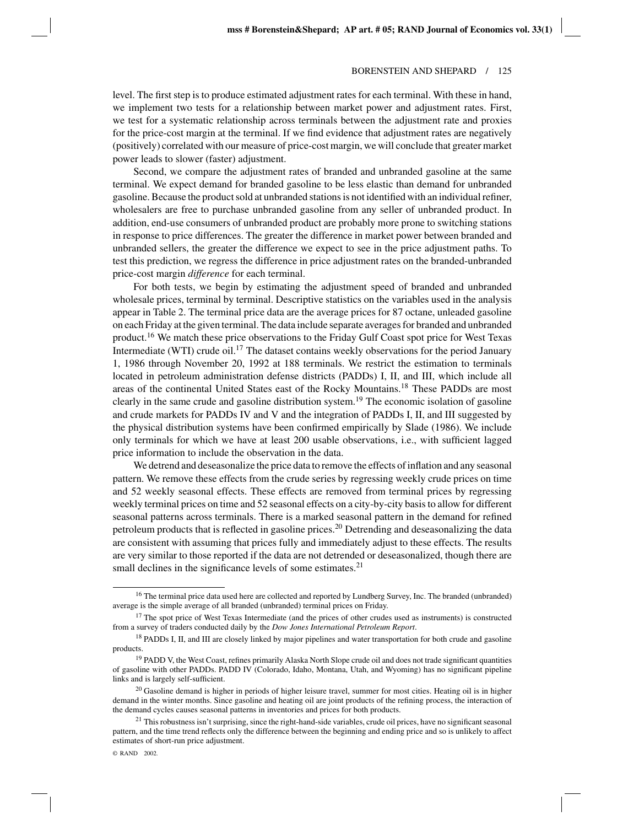level. The first step is to produce estimated adjustment rates for each terminal. With these in hand, we implement two tests for a relationship between market power and adjustment rates. First, we test for a systematic relationship across terminals between the adjustment rate and proxies for the price-cost margin at the terminal. If we find evidence that adjustment rates are negatively (positively) correlated with our measure of price-cost margin, we will conclude that greater market power leads to slower (faster) adjustment.

Second, we compare the adjustment rates of branded and unbranded gasoline at the same terminal. We expect demand for branded gasoline to be less elastic than demand for unbranded gasoline. Because the product sold at unbranded stations is not identified with an individual refiner, wholesalers are free to purchase unbranded gasoline from any seller of unbranded product. In addition, end-use consumers of unbranded product are probably more prone to switching stations in response to price differences. The greater the difference in market power between branded and unbranded sellers, the greater the difference we expect to see in the price adjustment paths. To test this prediction, we regress the difference in price adjustment rates on the branded-unbranded price-cost margin *difference* for each terminal.

For both tests, we begin by estimating the adjustment speed of branded and unbranded wholesale prices, terminal by terminal. Descriptive statistics on the variables used in the analysis appear in Table 2. The terminal price data are the average prices for 87 octane, unleaded gasoline on each Friday at the given terminal. The data include separate averages for branded and unbranded product.<sup>16</sup> We match these price observations to the Friday Gulf Coast spot price for West Texas Intermediate (WTI) crude oil.<sup>17</sup> The dataset contains weekly observations for the period January 1, 1986 through November 20, 1992 at 188 terminals. We restrict the estimation to terminals located in petroleum administration defense districts (PADDs) I, II, and III, which include all areas of the continental United States east of the Rocky Mountains.<sup>18</sup> These PADDs are most clearly in the same crude and gasoline distribution system.<sup>19</sup> The economic isolation of gasoline and crude markets for PADDs IV and V and the integration of PADDs I, II, and III suggested by the physical distribution systems have been confirmed empirically by Slade (1986). We include only terminals for which we have at least 200 usable observations, i.e., with sufficient lagged price information to include the observation in the data.

We detrend and deseasonalize the price data to remove the effects of inflation and any seasonal pattern. We remove these effects from the crude series by regressing weekly crude prices on time and 52 weekly seasonal effects. These effects are removed from terminal prices by regressing weekly terminal prices on time and 52 seasonal effects on a city-by-city basis to allow for different seasonal patterns across terminals. There is a marked seasonal pattern in the demand for refined petroleum products that is reflected in gasoline prices.<sup>20</sup> Detrending and deseasonalizing the data are consistent with assuming that prices fully and immediately adjust to these effects. The results are very similar to those reported if the data are not detrended or deseasonalized, though there are small declines in the significance levels of some estimates. $2<sup>1</sup>$ 

<sup>&</sup>lt;sup>16</sup> The terminal price data used here are collected and reported by Lundberg Survey, Inc. The branded (unbranded) average is the simple average of all branded (unbranded) terminal prices on Friday.

<sup>&</sup>lt;sup>17</sup> The spot price of West Texas Intermediate (and the prices of other crudes used as instruments) is constructed from a survey of traders conducted daily by the *Dow Jones International Petroleum Report*.

<sup>&</sup>lt;sup>18</sup> PADDs I, II, and III are closely linked by major pipelines and water transportation for both crude and gasoline products.

<sup>&</sup>lt;sup>19</sup> PADD V, the West Coast, refines primarily Alaska North Slope crude oil and does not trade significant quantities of gasoline with other PADDs. PADD IV (Colorado, Idaho, Montana, Utah, and Wyoming) has no significant pipeline links and is largely self-sufficient.

<sup>&</sup>lt;sup>20</sup> Gasoline demand is higher in periods of higher leisure travel, summer for most cities. Heating oil is in higher demand in the winter months. Since gasoline and heating oil are joint products of the refining process, the interaction of the demand cycles causes seasonal patterns in inventories and prices for both products.

 $21$  This robustness isn't surprising, since the right-hand-side variables, crude oil prices, have no significant seasonal pattern, and the time trend reflects only the difference between the beginning and ending price and so is unlikely to affect estimates of short-run price adjustment.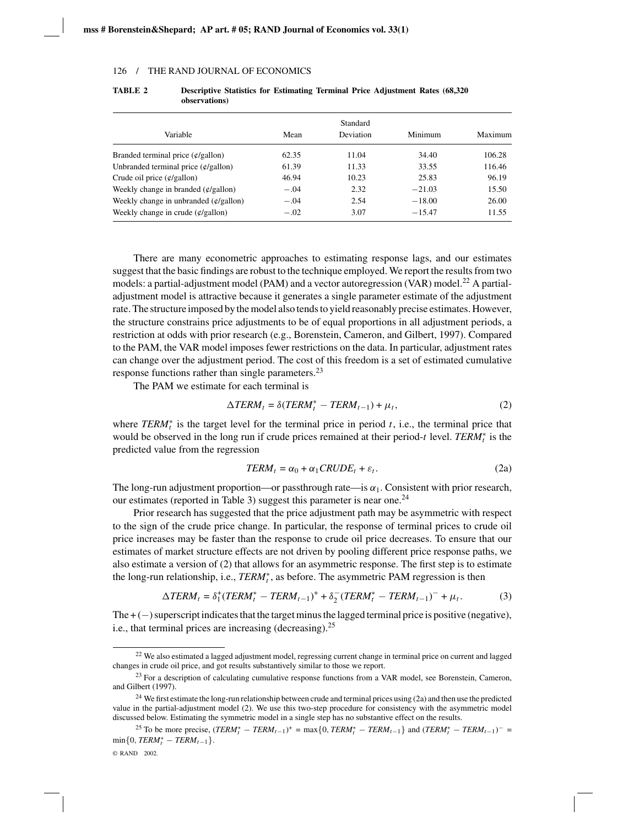|                                                 |        | Standard         |          |         |
|-------------------------------------------------|--------|------------------|----------|---------|
| Variable                                        | Mean   | <b>Deviation</b> | Minimum  | Maximum |
| Branded terminal price $(\frac{\phi}{g}$ allon) | 62.35  | 11.04            | 34.40    | 106.28  |
| Unbranded terminal price $(\phi/gallon)$        | 61.39  | 11.33            | 33.55    | 116.46  |
| Crude oil price $(\phi/gallon)$                 | 46.94  | 10.23            | 25.83    | 96.19   |
| Weekly change in branded $(\phi/gallon)$        | $-.04$ | 2.32             | $-21.03$ | 15.50   |
| Weekly change in unbranded $(\phi/gallon)$      | $-.04$ | 2.54             | $-18.00$ | 26.00   |
| Weekly change in crude $(\phi/gallon)$          | $-.02$ | 3.07             | $-15.47$ | 11.55   |

**TABLE 2 Descriptive Statistics for Estimating Terminal Price Adjustment Rates (68,320 observations)**

There are many econometric approaches to estimating response lags, and our estimates suggest that the basic findings are robust to the technique employed. We report the results from two models: a partial-adjustment model (PAM) and a vector autoregression (VAR) model.<sup>22</sup> A partialadjustment model is attractive because it generates a single parameter estimate of the adjustment rate. The structure imposed by the model also tends to yield reasonably precise estimates. However, the structure constrains price adjustments to be of equal proportions in all adjustment periods, a restriction at odds with prior research (e.g., Borenstein, Cameron, and Gilbert, 1997). Compared to the PAM, the VAR model imposes fewer restrictions on the data. In particular, adjustment rates can change over the adjustment period. The cost of this freedom is a set of estimated cumulative response functions rather than single parameters.23

The PAM we estimate for each terminal is

$$
\Delta TERM_t = \delta (TERM_t^* - TERM_{t-1}) + \mu_t, \qquad (2)
$$

where  $TERM<sub>t</sub><sup>*</sup>$  is the target level for the terminal price in period *t*, i.e., the terminal price that would be observed in the long run if crude prices remained at their period-*t* level. *TERM*<sup>∗</sup> *<sup>t</sup>* is the predicted value from the regression

$$
TERM_t = \alpha_0 + \alpha_1 CRUDE_t + \varepsilon_t.
$$
 (2a)

The long-run adjustment proportion—or passthrough rate—is  $\alpha_1$ . Consistent with prior research, our estimates (reported in Table 3) suggest this parameter is near one.<sup>24</sup>

Prior research has suggested that the price adjustment path may be asymmetric with respect to the sign of the crude price change. In particular, the response of terminal prices to crude oil price increases may be faster than the response to crude oil price decreases. To ensure that our estimates of market structure effects are not driven by pooling different price response paths, we also estimate a version of (2) that allows for an asymmetric response. The first step is to estimate the long-run relationship, i.e., *TERM*<sup>∗</sup>, as before. The asymmetric PAM regression is then

$$
\Delta TERM_t = \delta_1^+(TERM_t^* - TERM_{t-1})^+ + \delta_2^-(TERM_t^* - TERM_{t-1})^- + \mu_t.
$$
 (3)

The  $+$  ( $-$ ) superscript indicates that the target minus the lagged terminal price is positive (negative), i.e., that terminal prices are increasing (decreasing). $^{25}$ 

 $^{22}$  We also estimated a lagged adjustment model, regressing current change in terminal price on current and lagged changes in crude oil price, and got results substantively similar to those we report.

<sup>&</sup>lt;sup>23</sup> For a description of calculating cumulative response functions from a VAR model, see Borenstein, Cameron, and Gilbert (1997).

 $24$  We first estimate the long-run relationship between crude and terminal prices using (2a) and then use the predicted value in the partial-adjustment model (2). We use this two-step procedure for consistency with the asymmetric model discussed below. Estimating the symmetric model in a single step has no substantive effect on the results.

<sup>25</sup> To be more precise,  $(TERM_t^* - TERM_{t-1})^+ = \max\{0, TERM_t^* - TERM_{t-1}\}\$  and  $(TERM_t^* - TERM_{t-1})^- =$  $\min\{0, TERM_t^* - TERM_{t-1}\}.$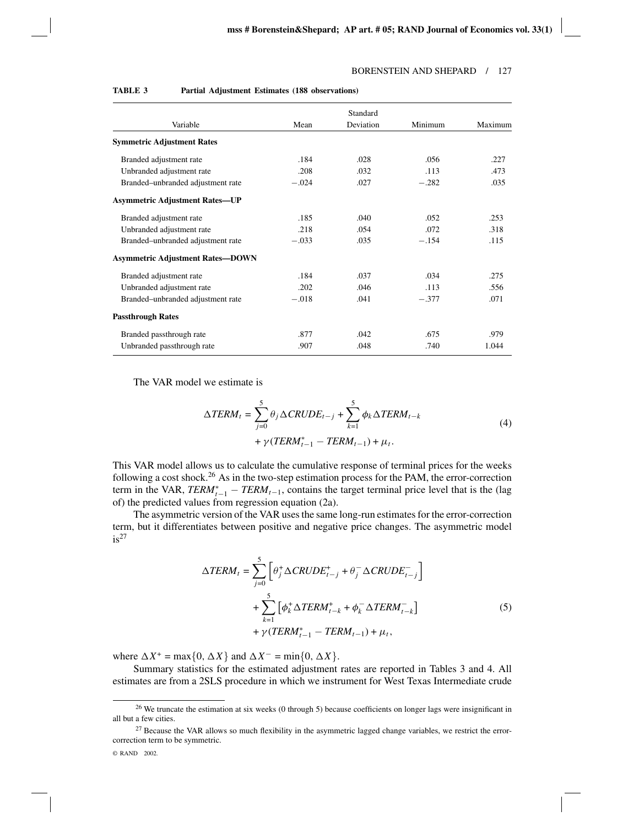|                                         |         | Standard  |         |         |
|-----------------------------------------|---------|-----------|---------|---------|
| Variable                                | Mean    | Deviation | Minimum | Maximum |
| <b>Symmetric Adjustment Rates</b>       |         |           |         |         |
| Branded adjustment rate                 | .184    | .028      | .056    | .227    |
| Unbranded adjustment rate               | .208    | .032      | .113    | .473    |
| Branded-unbranded adjustment rate       | $-.024$ | .027      | $-.282$ | .035    |
| <b>Asymmetric Adjustment Rates-UP</b>   |         |           |         |         |
| Branded adjustment rate                 | .185    | .040      | .052    | .253    |
| Unbranded adjustment rate               | .218    | .054      | .072    | .318    |
| Branded–unbranded adjustment rate       | $-.033$ | .035      | $-.154$ | .115    |
| <b>Asymmetric Adjustment Rates-DOWN</b> |         |           |         |         |
| Branded adjustment rate                 | .184    | .037      | .034    | .275    |
| Unbranded adjustment rate               | .202    | .046      | .113    | .556    |
| Branded–unbranded adjustment rate       | $-.018$ | .041      | $-.377$ | .071    |
| <b>Passthrough Rates</b>                |         |           |         |         |
| Branded passthrough rate                | .877    | .042      | .675    | .979    |
| Unbranded passthrough rate              | .907    | .048      | .740    | 1.044   |

#### **TABLE 3 Partial Adjustment Estimates (188 observations)**

The VAR model we estimate is

$$
\Delta TERM_{t} = \sum_{j=0}^{5} \theta_{j} \Delta CRUDE_{t-j} + \sum_{k=1}^{5} \phi_{k} \Delta TERM_{t-k} + \gamma (TERM_{t-1}^{*} - TERM_{t-1}) + \mu_{t}.
$$
\n(4)

This VAR model allows us to calculate the cumulative response of terminal prices for the weeks following a cost shock.<sup>26</sup> As in the two-step estimation process for the PAM, the error-correction term in the VAR,  $TERM_{t-1}^* - TERM_{t-1}$ , contains the target terminal price level that is the (lag of) the predicted values from regression equation (2a).

The asymmetric version of the VAR uses the same long-run estimates for the error-correction term, but it differentiates between positive and negative price changes. The asymmetric model  $is<sup>27</sup>$ 

$$
\Delta TERM_t = \sum_{j=0}^{5} \left[ \theta_j^+ \Delta CRUDE_{t-j}^+ + \theta_j^- \Delta CRUDE_{t-j}^- \right]
$$
  
+ 
$$
\sum_{k=1}^{5} \left[ \phi_k^+ \Delta TERM_{t-k}^+ + \phi_k^- \Delta TERM_{t-k}^- \right]
$$
  
+ 
$$
\gamma (TERM_{t-1}^* - TERM_{t-1}) + \mu_t,
$$
 (5)

where  $\Delta X^+$  = max $\{0, \Delta X\}$  and  $\Delta X^-$  = min $\{0, \Delta X\}$ .

Summary statistics for the estimated adjustment rates are reported in Tables 3 and 4. All estimates are from a 2SLS procedure in which we instrument for West Texas Intermediate crude

<sup>&</sup>lt;sup>26</sup> We truncate the estimation at six weeks (0 through 5) because coefficients on longer lags were insignificant in all but a few cities.

<sup>&</sup>lt;sup>27</sup> Because the VAR allows so much flexibility in the asymmetric lagged change variables, we restrict the errorcorrection term to be symmetric.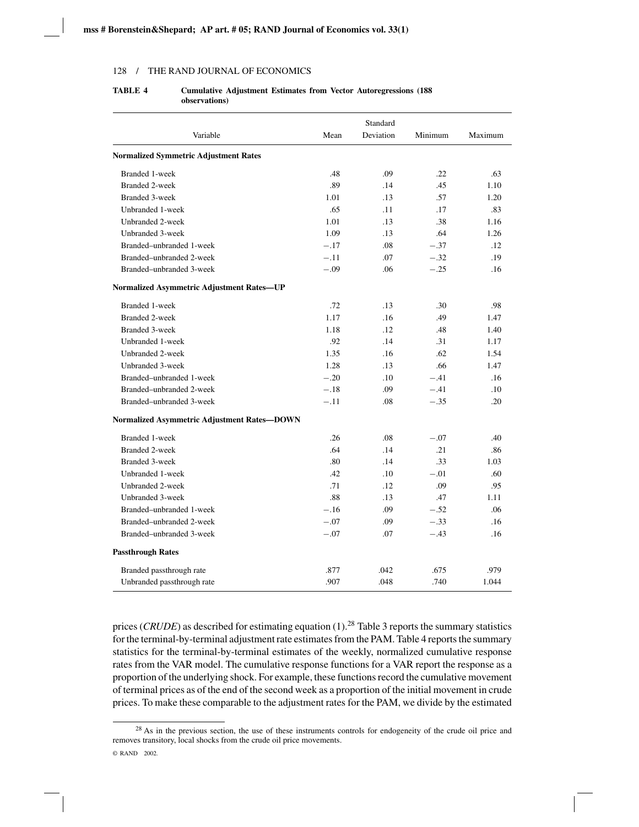|                                                  |        | Standard  |         |         |
|--------------------------------------------------|--------|-----------|---------|---------|
| Variable                                         | Mean   | Deviation | Minimum | Maximum |
| <b>Normalized Symmetric Adjustment Rates</b>     |        |           |         |         |
| Branded 1-week                                   | .48    | .09       | .22     | .63     |
| <b>Branded 2-week</b>                            | .89    | .14       | .45     | 1.10    |
| <b>Branded 3-week</b>                            | 1.01   | .13       | .57     | 1.20    |
| Unbranded 1-week                                 | .65    | .11       | .17     | .83     |
| Unbranded 2-week                                 | 1.01   | .13       | .38     | 1.16    |
| Unbranded 3-week                                 | 1.09   | .13       | .64     | 1.26    |
| Branded-unbranded 1-week                         | $-.17$ | .08       | $-.37$  | .12     |
| Branded-unbranded 2-week                         | $-.11$ | .07       | $-.32$  | .19     |
| Branded–unbranded 3-week                         | $-.09$ | .06       | $-.25$  | .16     |
| <b>Normalized Asymmetric Adjustment Rates-UP</b> |        |           |         |         |
| Branded 1-week                                   | .72    | .13       | .30     | .98     |
| <b>Branded 2-week</b>                            | 1.17   | .16       | .49     | 1.47    |
| <b>Branded 3-week</b>                            | 1.18   | .12       | .48     | 1.40    |
| Unbranded 1-week                                 | .92    | .14       | .31     | 1.17    |
| Unbranded 2-week                                 | 1.35   | .16       | .62     | 1.54    |
| Unbranded 3-week                                 | 1.28   | .13       | .66     | 1.47    |
| Branded-unbranded 1-week                         | $-.20$ | .10       | $-.41$  | .16     |
| Branded-unbranded 2-week                         | $-.18$ | .09       | $-.41$  | .10     |
| Branded-unbranded 3-week                         | $-.11$ | .08       | $-.35$  | .20     |
| Normalized Asymmetric Adjustment Rates-DOWN      |        |           |         |         |
| Branded 1-week                                   | .26    | .08       | $-.07$  | .40     |
| <b>Branded 2-week</b>                            | .64    | .14       | .21     | .86     |
| <b>Branded 3-week</b>                            | .80    | .14       | .33     | 1.03    |
| Unbranded 1-week                                 | .42    | .10       | $-.01$  | .60     |
| Unbranded 2-week                                 | .71    | .12       | .09     | .95     |
| Unbranded 3-week                                 | .88    | .13       | .47     | 1.11    |
| Branded-unbranded 1-week                         | $-.16$ | .09       | $-.52$  | .06     |
| Branded-unbranded 2-week                         | $-.07$ | .09       | $-.33$  | .16     |
| Branded-unbranded 3-week                         | $-.07$ | .07       | $-.43$  | .16     |
| <b>Passthrough Rates</b>                         |        |           |         |         |
| Branded passthrough rate                         | .877   | .042      | .675    | .979    |
| Unbranded passthrough rate                       | .907   | .048      | .740    | 1.044   |

## **TABLE 4 Cumulative Adjustment Estimates from Vector Autoregressions (188 observations)**

prices (*CRUDE*) as described for estimating equation (1).28 Table 3 reports the summary statistics for the terminal-by-terminal adjustment rate estimates from the PAM. Table 4 reports the summary statistics for the terminal-by-terminal estimates of the weekly, normalized cumulative response rates from the VAR model. The cumulative response functions for a VAR report the response as a proportion of the underlying shock. For example, these functions record the cumulative movement of terminal prices as of the end of the second week as a proportion of the initial movement in crude prices. To make these comparable to the adjustment rates for the PAM, we divide by the estimated

<sup>&</sup>lt;sup>28</sup> As in the previous section, the use of these instruments controls for endogeneity of the crude oil price and removes transitory, local shocks from the crude oil price movements.

<sup>©</sup> RAND 2002.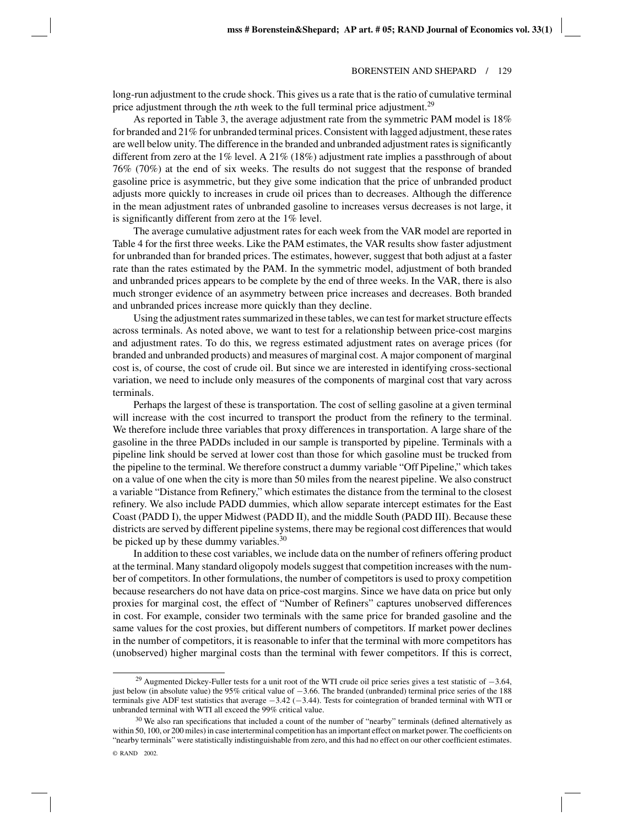long-run adjustment to the crude shock. This gives us a rate that is the ratio of cumulative terminal price adjustment through the *n*th week to the full terminal price adjustment.<sup>29</sup>

As reported in Table 3, the average adjustment rate from the symmetric PAM model is 18% for branded and 21% for unbranded terminal prices. Consistent with lagged adjustment, these rates are well below unity. The difference in the branded and unbranded adjustment rates is significantly different from zero at the  $1\%$  level. A  $21\%$  (18%) adjustment rate implies a passthrough of about 76% (70%) at the end of six weeks. The results do not suggest that the response of branded gasoline price is asymmetric, but they give some indication that the price of unbranded product adjusts more quickly to increases in crude oil prices than to decreases. Although the difference in the mean adjustment rates of unbranded gasoline to increases versus decreases is not large, it is significantly different from zero at the 1% level.

The average cumulative adjustment rates for each week from the VAR model are reported in Table 4 for the first three weeks. Like the PAM estimates, the VAR results show faster adjustment for unbranded than for branded prices. The estimates, however, suggest that both adjust at a faster rate than the rates estimated by the PAM. In the symmetric model, adjustment of both branded and unbranded prices appears to be complete by the end of three weeks. In the VAR, there is also much stronger evidence of an asymmetry between price increases and decreases. Both branded and unbranded prices increase more quickly than they decline.

Using the adjustment rates summarized in these tables, we can test for market structure effects across terminals. As noted above, we want to test for a relationship between price-cost margins and adjustment rates. To do this, we regress estimated adjustment rates on average prices (for branded and unbranded products) and measures of marginal cost. A major component of marginal cost is, of course, the cost of crude oil. But since we are interested in identifying cross-sectional variation, we need to include only measures of the components of marginal cost that vary across terminals.

Perhaps the largest of these is transportation. The cost of selling gasoline at a given terminal will increase with the cost incurred to transport the product from the refinery to the terminal. We therefore include three variables that proxy differences in transportation. A large share of the gasoline in the three PADDs included in our sample is transported by pipeline. Terminals with a pipeline link should be served at lower cost than those for which gasoline must be trucked from the pipeline to the terminal. We therefore construct a dummy variable "Off Pipeline," which takes on a value of one when the city is more than 50 miles from the nearest pipeline. We also construct a variable "Distance from Refinery," which estimates the distance from the terminal to the closest refinery. We also include PADD dummies, which allow separate intercept estimates for the East Coast (PADD I), the upper Midwest (PADD II), and the middle South (PADD III). Because these districts are served by different pipeline systems, there may be regional cost differences that would be picked up by these dummy variables.<sup>30</sup>

In addition to these cost variables, we include data on the number of refiners offering product at the terminal. Many standard oligopoly models suggest that competition increases with the number of competitors. In other formulations, the number of competitors is used to proxy competition because researchers do not have data on price-cost margins. Since we have data on price but only proxies for marginal cost, the effect of "Number of Refiners" captures unobserved differences in cost. For example, consider two terminals with the same price for branded gasoline and the same values for the cost proxies, but different numbers of competitors. If market power declines in the number of competitors, it is reasonable to infer that the terminal with more competitors has (unobserved) higher marginal costs than the terminal with fewer competitors. If this is correct,

<sup>29</sup> Augmented Dickey-Fuller tests for a unit root of the WTI crude oil price series gives a test statistic of −3.64, just below (in absolute value) the 95% critical value of −3.66. The branded (unbranded) terminal price series of the 188 terminals give ADF test statistics that average −3.42 (−3.44). Tests for cointegration of branded terminal with WTI or unbranded terminal with WTI all exceed the 99% critical value.

 $30$  We also ran specifications that included a count of the number of "nearby" terminals (defined alternatively as within 50, 100, or 200 miles) in case interterminal competition has an important effect on market power. The coefficients on "nearby terminals" were statistically indistinguishable from zero, and this had no effect on our other coefficient estimates.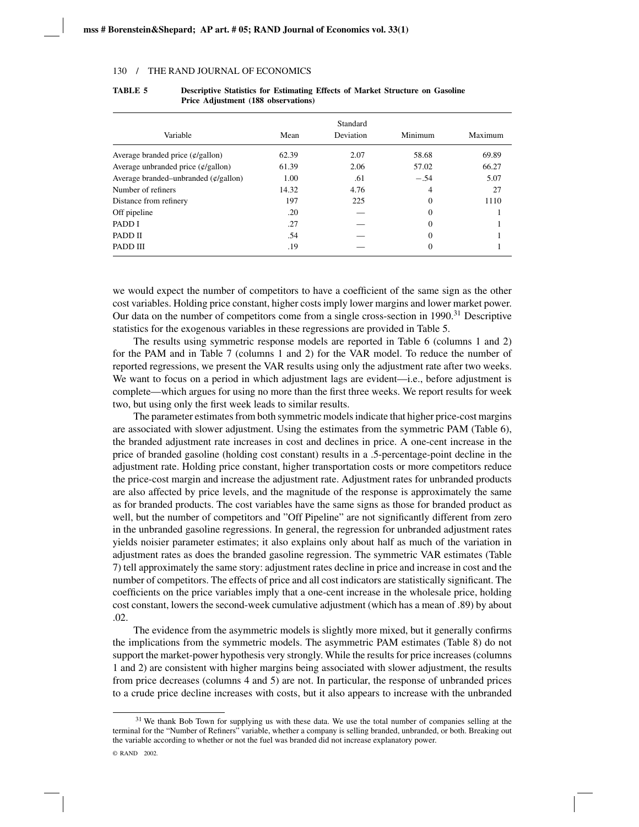|                                           |       | Standard         |          |         |
|-------------------------------------------|-------|------------------|----------|---------|
| Variable                                  | Mean  | <b>Deviation</b> | Minimum  | Maximum |
| Average branded price $(\psi/gallon)$     | 62.39 | 2.07             | 58.68    | 69.89   |
| Average unbranded price $(\phi/gallon)$   | 61.39 | 2.06             | 57.02    | 66.27   |
| Average branded–unbranded $(\phi/gallon)$ | 1.00  | .61              | $-.54$   | 5.07    |
| Number of refiners                        | 14.32 | 4.76             | 4        | 27      |
| Distance from refinery                    | 197   | 225              | $\theta$ | 1110    |
| Off pipeline                              | .20   |                  | $\Omega$ |         |
| PADD I                                    | .27   |                  | $\Omega$ |         |
| PADD II                                   | .54   |                  | $\theta$ |         |
| PADD III                                  | .19   |                  | $\theta$ |         |

| TABLE 5 | <b>Descriptive Statistics for Estimating Effects of Market Structure on Gasoline</b> |
|---------|--------------------------------------------------------------------------------------|
|         | Price Adjustment (188 observations)                                                  |

we would expect the number of competitors to have a coefficient of the same sign as the other cost variables. Holding price constant, higher costs imply lower margins and lower market power. Our data on the number of competitors come from a single cross-section in  $1990<sup>31</sup>$  Descriptive statistics for the exogenous variables in these regressions are provided in Table 5.

The results using symmetric response models are reported in Table 6 (columns 1 and 2) for the PAM and in Table 7 (columns 1 and 2) for the VAR model. To reduce the number of reported regressions, we present the VAR results using only the adjustment rate after two weeks. We want to focus on a period in which adjustment lags are evident—i.e., before adjustment is complete—which argues for using no more than the first three weeks. We report results for week two, but using only the first week leads to similar results.

The parameter estimates from both symmetric models indicate that higher price-cost margins are associated with slower adjustment. Using the estimates from the symmetric PAM (Table 6), the branded adjustment rate increases in cost and declines in price. A one-cent increase in the price of branded gasoline (holding cost constant) results in a .5-percentage-point decline in the adjustment rate. Holding price constant, higher transportation costs or more competitors reduce the price-cost margin and increase the adjustment rate. Adjustment rates for unbranded products are also affected by price levels, and the magnitude of the response is approximately the same as for branded products. The cost variables have the same signs as those for branded product as well, but the number of competitors and "Off Pipeline" are not significantly different from zero in the unbranded gasoline regressions. In general, the regression for unbranded adjustment rates yields noisier parameter estimates; it also explains only about half as much of the variation in adjustment rates as does the branded gasoline regression. The symmetric VAR estimates (Table 7) tell approximately the same story: adjustment rates decline in price and increase in cost and the number of competitors. The effects of price and all cost indicators are statistically significant. The coefficients on the price variables imply that a one-cent increase in the wholesale price, holding cost constant, lowers the second-week cumulative adjustment (which has a mean of .89) by about .02.

The evidence from the asymmetric models is slightly more mixed, but it generally confirms the implications from the symmetric models. The asymmetric PAM estimates (Table 8) do not support the market-power hypothesis very strongly. While the results for price increases (columns 1 and 2) are consistent with higher margins being associated with slower adjustment, the results from price decreases (columns 4 and 5) are not. In particular, the response of unbranded prices to a crude price decline increases with costs, but it also appears to increase with the unbranded

 $31$  We thank Bob Town for supplying us with these data. We use the total number of companies selling at the terminal for the "Number of Refiners" variable, whether a company is selling branded, unbranded, or both. Breaking out the variable according to whether or not the fuel was branded did not increase explanatory power.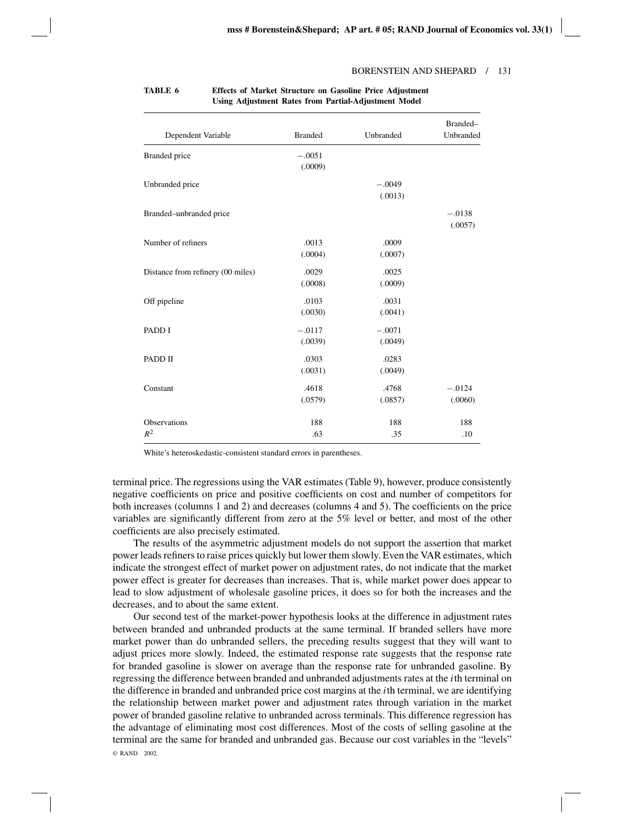| Dependent Variable                | <b>Branded</b>      | Unbranded           | Branded-<br>Unbranded |
|-----------------------------------|---------------------|---------------------|-----------------------|
| <b>Branded</b> price              | $-.0051$<br>(.0009) |                     |                       |
| Unbranded price                   |                     | $-.0049$<br>(.0013) |                       |
| Branded-unbranded price           |                     |                     | $-.0138$<br>(.0057)   |
| Number of refiners                | .0013<br>(.0004)    | .0009<br>(.0007)    |                       |
| Distance from refinery (00 miles) | .0029<br>(.0008)    | .0025<br>(.0009)    |                       |
| Off pipeline                      | .0103<br>(.0030)    | .0031<br>(.0041)    |                       |
| PADD I                            | $-.0117$<br>(.0039) | $-.0071$<br>(.0049) |                       |
| PADD II                           | .0303<br>(.0031)    | .0283<br>(.0049)    |                       |
| Constant                          | .4618<br>(.0579)    | .4768<br>(.0857)    | $-.0124$<br>(.0060)   |
| <b>Observations</b><br>$R^2$      | 188<br>.63          | 188<br>.35          | 188<br>.10            |

## **TABLE 6 Effects of Market Structure on Gasoline Price Adjustment Using Adjustment Rates from Partial-Adjustment Model**

White's heteroskedastic-consistent standard errors in parentheses.

terminal price. The regressions using the VAR estimates (Table 9), however, produce consistently negative coefficients on price and positive coefficients on cost and number of competitors for both increases (columns 1 and 2) and decreases (columns 4 and 5). The coefficients on the price variables are significantly different from zero at the 5% level or better, and most of the other coefficients are also precisely estimated.

The results of the asymmetric adjustment models do not support the assertion that market power leads refiners to raise prices quickly but lower them slowly. Even the VAR estimates, which indicate the strongest effect of market power on adjustment rates, do not indicate that the market power effect is greater for decreases than increases. That is, while market power does appear to lead to slow adjustment of wholesale gasoline prices, it does so for both the increases and the decreases, and to about the same extent.

Our second test of the market-power hypothesis looks at the difference in adjustment rates between branded and unbranded products at the same terminal. If branded sellers have more market power than do unbranded sellers, the preceding results suggest that they will want to adjust prices more slowly. Indeed, the estimated response rate suggests that the response rate for branded gasoline is slower on average than the response rate for unbranded gasoline. By regressing the difference between branded and unbranded adjustments rates at the *i*th terminal on the difference in branded and unbranded price cost margins at the *i*th terminal, we are identifying the relationship between market power and adjustment rates through variation in the market power of branded gasoline relative to unbranded across terminals. This difference regression has the advantage of eliminating most cost differences. Most of the costs of selling gasoline at the terminal are the same for branded and unbranded gas. Because our cost variables in the "levels" © RAND 2002.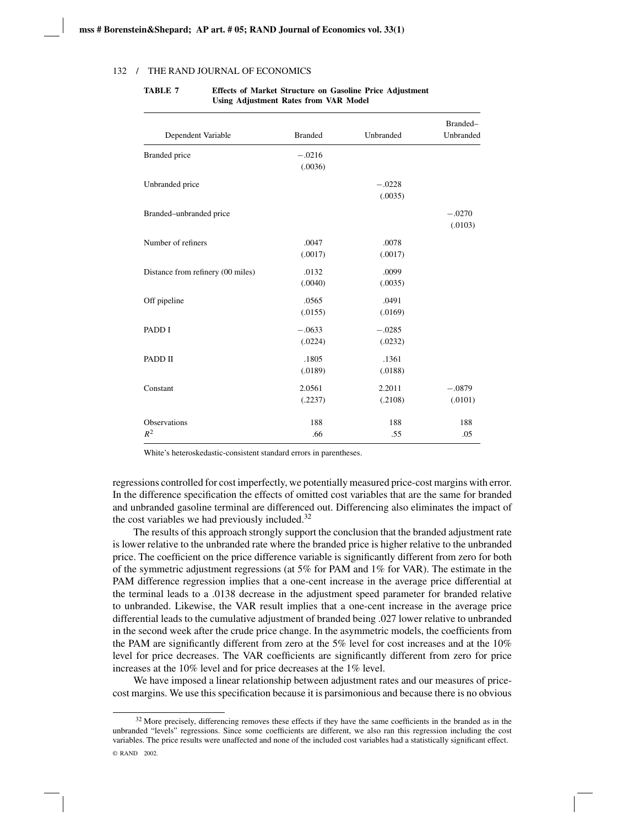| Dependent Variable                | <b>Branded</b>      | Unbranded           | Branded-<br>Unbranded |
|-----------------------------------|---------------------|---------------------|-----------------------|
| Branded price                     | $-.0216$<br>(.0036) |                     |                       |
| Unbranded price                   |                     | $-.0228$<br>(.0035) |                       |
| Branded-unbranded price           |                     |                     | $-.0270$<br>(.0103)   |
| Number of refiners                | .0047<br>(.0017)    | .0078<br>(.0017)    |                       |
| Distance from refinery (00 miles) | .0132<br>(.0040)    | .0099<br>(.0035)    |                       |
| Off pipeline                      | .0565<br>(.0155)    | .0491<br>(.0169)    |                       |
| PADD I                            | $-.0633$<br>(.0224) | $-.0285$<br>(.0232) |                       |
| PADD II                           | .1805<br>(.0189)    | .1361<br>(.0188)    |                       |
| Constant                          | 2.0561<br>(.2237)   | 2.2011<br>(.2108)   | $-.0879$<br>(.0101)   |
| <b>Observations</b><br>$R^2$      | 188<br>.66          | 188<br>.55          | 188<br>.05            |

**TABLE 7 Effects of Market Structure on Gasoline Price Adjustment Using Adjustment Rates from VAR Model**

White's heteroskedastic-consistent standard errors in parentheses.

regressions controlled for cost imperfectly, we potentially measured price-cost margins with error. In the difference specification the effects of omitted cost variables that are the same for branded and unbranded gasoline terminal are differenced out. Differencing also eliminates the impact of the cost variables we had previously included.<sup>32</sup>

The results of this approach strongly support the conclusion that the branded adjustment rate is lower relative to the unbranded rate where the branded price is higher relative to the unbranded price. The coefficient on the price difference variable is significantly different from zero for both of the symmetric adjustment regressions (at 5% for PAM and 1% for VAR). The estimate in the PAM difference regression implies that a one-cent increase in the average price differential at the terminal leads to a .0138 decrease in the adjustment speed parameter for branded relative to unbranded. Likewise, the VAR result implies that a one-cent increase in the average price differential leads to the cumulative adjustment of branded being .027 lower relative to unbranded in the second week after the crude price change. In the asymmetric models, the coefficients from the PAM are significantly different from zero at the 5% level for cost increases and at the 10% level for price decreases. The VAR coefficients are significantly different from zero for price increases at the 10% level and for price decreases at the 1% level.

We have imposed a linear relationship between adjustment rates and our measures of pricecost margins. We use this specification because it is parsimonious and because there is no obvious

<sup>&</sup>lt;sup>32</sup> More precisely, differencing removes these effects if they have the same coefficients in the branded as in the unbranded "levels" regressions. Since some coefficients are different, we also ran this regression including the cost variables. The price results were unaffected and none of the included cost variables had a statistically significant effect.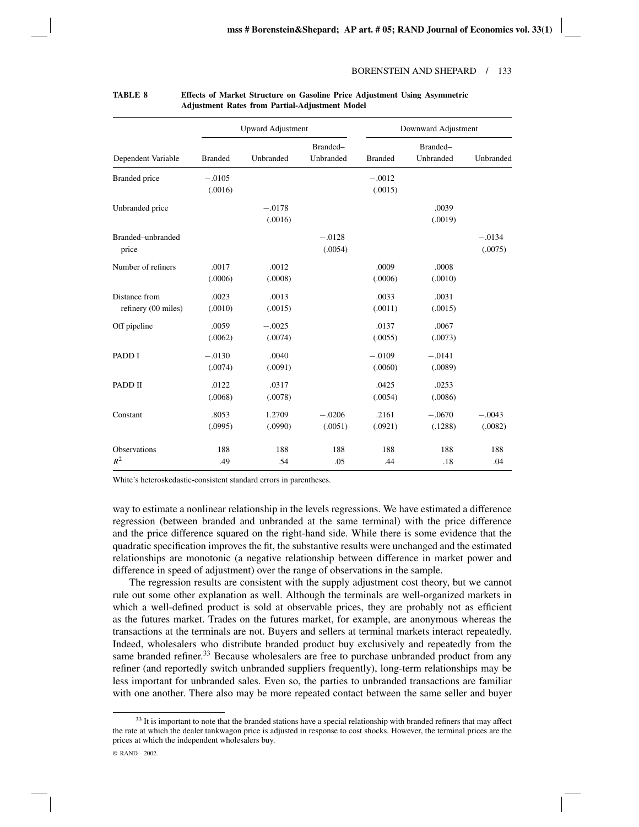|                                      |                     | <b>Upward Adjustment</b> |                       |                     | Downward Adjustment   |                     |  |
|--------------------------------------|---------------------|--------------------------|-----------------------|---------------------|-----------------------|---------------------|--|
| Dependent Variable                   | <b>Branded</b>      | Unbranded                | Branded-<br>Unbranded | <b>Branded</b>      | Branded-<br>Unbranded | Unbranded           |  |
| <b>Branded</b> price                 | $-.0105$<br>(.0016) |                          |                       | $-.0012$<br>(.0015) |                       |                     |  |
| Unbranded price                      |                     | $-.0178$<br>(.0016)      |                       |                     | .0039<br>(.0019)      |                     |  |
| Branded-unbranded<br>price           |                     |                          | $-.0128$<br>(.0054)   |                     |                       | $-.0134$<br>(.0075) |  |
| Number of refiners                   | .0017<br>(.0006)    | .0012<br>(.0008)         |                       | .0009<br>(.0006)    | .0008<br>(.0010)      |                     |  |
| Distance from<br>refinery (00 miles) | .0023<br>(.0010)    | .0013<br>(.0015)         |                       | .0033<br>(.0011)    | .0031<br>(.0015)      |                     |  |
| Off pipeline                         | .0059<br>(.0062)    | $-.0025$<br>(.0074)      |                       | .0137<br>(.0055)    | .0067<br>(.0073)      |                     |  |
| PADD I                               | $-.0130$<br>(.0074) | .0040<br>(.0091)         |                       | $-.0109$<br>(.0060) | $-.0141$<br>(.0089)   |                     |  |
| PADD II                              | .0122<br>(.0068)    | .0317<br>(.0078)         |                       | .0425<br>(.0054)    | .0253<br>(.0086)      |                     |  |
| Constant                             | .8053<br>(.0995)    | 1.2709<br>(.0990)        | $-.0206$<br>(.0051)   | .2161<br>(.0921)    | $-.0670$<br>(.1288)   | $-.0043$<br>(.0082) |  |
| Observations<br>$R^2$                | 188<br>.49          | 188<br>.54               | 188<br>.05            | 188<br>.44          | 188<br>.18            | 188<br>.04          |  |

#### **TABLE 8 Effects of Market Structure on Gasoline Price Adjustment Using Asymmetric Adjustment Rates from Partial-Adjustment Model**

White's heteroskedastic-consistent standard errors in parentheses.

way to estimate a nonlinear relationship in the levels regressions. We have estimated a difference regression (between branded and unbranded at the same terminal) with the price difference and the price difference squared on the right-hand side. While there is some evidence that the quadratic specification improves the fit, the substantive results were unchanged and the estimated relationships are monotonic (a negative relationship between difference in market power and difference in speed of adjustment) over the range of observations in the sample.

The regression results are consistent with the supply adjustment cost theory, but we cannot rule out some other explanation as well. Although the terminals are well-organized markets in which a well-defined product is sold at observable prices, they are probably not as efficient as the futures market. Trades on the futures market, for example, are anonymous whereas the transactions at the terminals are not. Buyers and sellers at terminal markets interact repeatedly. Indeed, wholesalers who distribute branded product buy exclusively and repeatedly from the same branded refiner.<sup>33</sup> Because wholesalers are free to purchase unbranded product from any refiner (and reportedly switch unbranded suppliers frequently), long-term relationships may be less important for unbranded sales. Even so, the parties to unbranded transactions are familiar with one another. There also may be more repeated contact between the same seller and buyer

<sup>&</sup>lt;sup>33</sup> It is important to note that the branded stations have a special relationship with branded refiners that may affect the rate at which the dealer tankwagon price is adjusted in response to cost shocks. However, the terminal prices are the prices at which the independent wholesalers buy.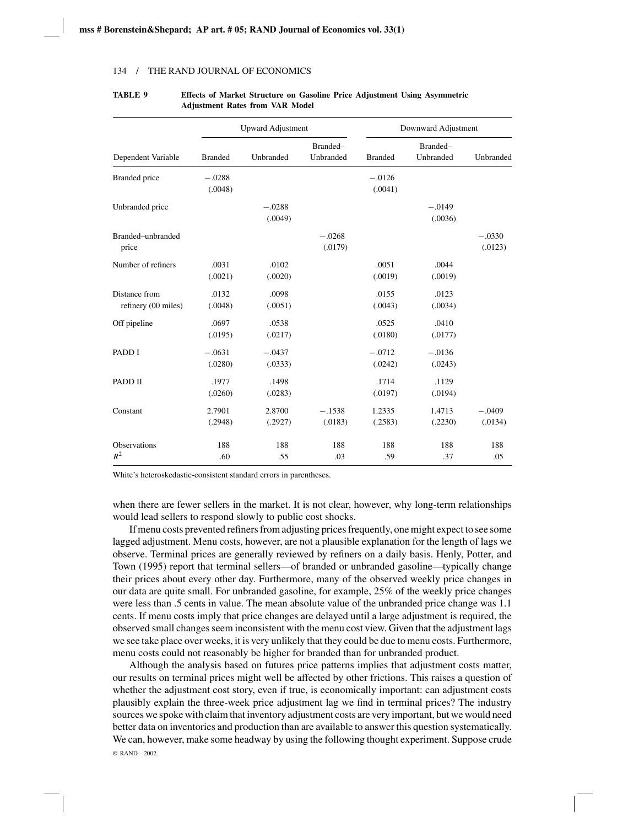|                                      |                     | <b>Upward Adjustment</b> |                       |                     | Downward Adjustment   |                     |  |
|--------------------------------------|---------------------|--------------------------|-----------------------|---------------------|-----------------------|---------------------|--|
| Dependent Variable                   | <b>Branded</b>      | Unbranded                | Branded-<br>Unbranded | <b>Branded</b>      | Branded-<br>Unbranded | Unbranded           |  |
| <b>Branded</b> price                 | $-.0288$<br>(.0048) |                          |                       | $-.0126$<br>(.0041) |                       |                     |  |
| Unbranded price                      |                     | $-.0288$<br>(.0049)      |                       |                     | $-.0149$<br>(.0036)   |                     |  |
| Branded-unbranded<br>price           |                     |                          | $-.0268$<br>(.0179)   |                     |                       | $-.0330$<br>(.0123) |  |
| Number of refiners                   | .0031<br>(.0021)    | .0102<br>(.0020)         |                       | .0051<br>(.0019)    | .0044<br>(.0019)      |                     |  |
| Distance from<br>refinery (00 miles) | .0132<br>(.0048)    | .0098<br>(.0051)         |                       | .0155<br>(.0043)    | .0123<br>(.0034)      |                     |  |
| Off pipeline                         | .0697<br>(.0195)    | .0538<br>(.0217)         |                       | .0525<br>(.0180)    | .0410<br>(.0177)      |                     |  |
| PADD I                               | $-.0631$<br>(.0280) | $-.0437$<br>(.0333)      |                       | $-.0712$<br>(.0242) | $-.0136$<br>(.0243)   |                     |  |
| PADD II                              | .1977<br>(.0260)    | .1498<br>(.0283)         |                       | .1714<br>(.0197)    | .1129<br>(.0194)      |                     |  |
| Constant                             | 2.7901<br>(.2948)   | 2.8700<br>(.2927)        | $-.1538$<br>(.0183)   | 1.2335<br>(.2583)   | 1.4713<br>(.2230)     | $-.0409$<br>(.0134) |  |
| Observations<br>$R^2$                | 188<br>.60          | 188<br>.55               | 188<br>.03            | 188<br>.59          | 188<br>.37            | 188<br>.05          |  |

## **TABLE 9 Effects of Market Structure on Gasoline Price Adjustment Using Asymmetric Adjustment Rates from VAR Model**

White's heteroskedastic-consistent standard errors in parentheses.

when there are fewer sellers in the market. It is not clear, however, why long-term relationships would lead sellers to respond slowly to public cost shocks.

If menu costs prevented refiners from adjusting prices frequently, one might expect to see some lagged adjustment. Menu costs, however, are not a plausible explanation for the length of lags we observe. Terminal prices are generally reviewed by refiners on a daily basis. Henly, Potter, and Town (1995) report that terminal sellers—of branded or unbranded gasoline—typically change their prices about every other day. Furthermore, many of the observed weekly price changes in our data are quite small. For unbranded gasoline, for example, 25% of the weekly price changes were less than .5 cents in value. The mean absolute value of the unbranded price change was 1.1 cents. If menu costs imply that price changes are delayed until a large adjustment is required, the observed small changes seem inconsistent with the menu cost view. Given that the adjustment lags we see take place over weeks, it is very unlikely that they could be due to menu costs. Furthermore, menu costs could not reasonably be higher for branded than for unbranded product.

Although the analysis based on futures price patterns implies that adjustment costs matter, our results on terminal prices might well be affected by other frictions. This raises a question of whether the adjustment cost story, even if true, is economically important: can adjustment costs plausibly explain the three-week price adjustment lag we find in terminal prices? The industry sources we spoke with claim that inventory adjustment costs are very important, but we would need better data on inventories and production than are available to answer this question systematically. We can, however, make some headway by using the following thought experiment. Suppose crude © RAND 2002.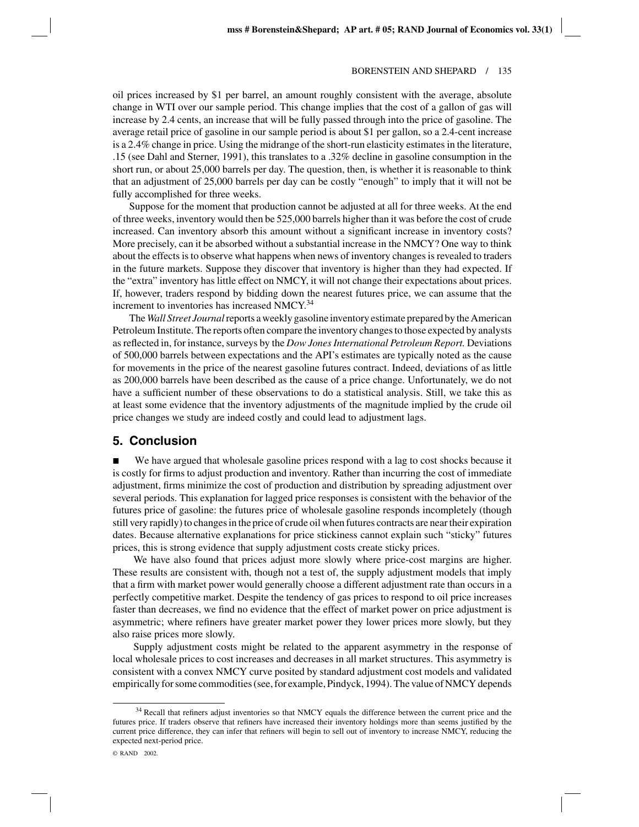oil prices increased by \$1 per barrel, an amount roughly consistent with the average, absolute change in WTI over our sample period. This change implies that the cost of a gallon of gas will increase by 2.4 cents, an increase that will be fully passed through into the price of gasoline. The average retail price of gasoline in our sample period is about \$1 per gallon, so a 2.4-cent increase is a 2.4% change in price. Using the midrange of the short-run elasticity estimates in the literature, .15 (see Dahl and Sterner, 1991), this translates to a .32% decline in gasoline consumption in the short run, or about 25,000 barrels per day. The question, then, is whether it is reasonable to think that an adjustment of 25,000 barrels per day can be costly "enough" to imply that it will not be fully accomplished for three weeks.

Suppose for the moment that production cannot be adjusted at all for three weeks. At the end of three weeks, inventory would then be 525,000 barrels higher than it was before the cost of crude increased. Can inventory absorb this amount without a significant increase in inventory costs? More precisely, can it be absorbed without a substantial increase in the NMCY? One way to think about the effects is to observe what happens when news of inventory changes is revealed to traders in the future markets. Suppose they discover that inventory is higher than they had expected. If the "extra" inventory has little effect on NMCY, it will not change their expectations about prices. If, however, traders respond by bidding down the nearest futures price, we can assume that the increment to inventories has increased NMCY.<sup>34</sup>

The *Wall Street Journal*reports a weekly gasoline inventory estimate prepared by the American Petroleum Institute. The reports often compare the inventory changes to those expected by analysts as reflected in, for instance, surveys by the *Dow Jones International Petroleum Report.* Deviations of 500,000 barrels between expectations and the API's estimates are typically noted as the cause for movements in the price of the nearest gasoline futures contract. Indeed, deviations of as little as 200,000 barrels have been described as the cause of a price change. Unfortunately, we do not have a sufficient number of these observations to do a statistical analysis. Still, we take this as at least some evidence that the inventory adjustments of the magnitude implied by the crude oil price changes we study are indeed costly and could lead to adjustment lags.

# **5. Conclusion**

 We have argued that wholesale gasoline prices respond with a lag to cost shocks because it is costly for firms to adjust production and inventory. Rather than incurring the cost of immediate adjustment, firms minimize the cost of production and distribution by spreading adjustment over several periods. This explanation for lagged price responses is consistent with the behavior of the futures price of gasoline: the futures price of wholesale gasoline responds incompletely (though still very rapidly) to changes in the price of crude oil when futures contracts are near their expiration dates. Because alternative explanations for price stickiness cannot explain such "sticky" futures prices, this is strong evidence that supply adjustment costs create sticky prices.

We have also found that prices adjust more slowly where price-cost margins are higher. These results are consistent with, though not a test of, the supply adjustment models that imply that a firm with market power would generally choose a different adjustment rate than occurs in a perfectly competitive market. Despite the tendency of gas prices to respond to oil price increases faster than decreases, we find no evidence that the effect of market power on price adjustment is asymmetric; where refiners have greater market power they lower prices more slowly, but they also raise prices more slowly.

Supply adjustment costs might be related to the apparent asymmetry in the response of local wholesale prices to cost increases and decreases in all market structures. This asymmetry is consistent with a convex NMCY curve posited by standard adjustment cost models and validated empirically for some commodities (see, for example, Pindyck, 1994). The value of NMCY depends

<sup>&</sup>lt;sup>34</sup> Recall that refiners adjust inventories so that NMCY equals the difference between the current price and the futures price. If traders observe that refiners have increased their inventory holdings more than seems justified by the current price difference, they can infer that refiners will begin to sell out of inventory to increase NMCY, reducing the expected next-period price.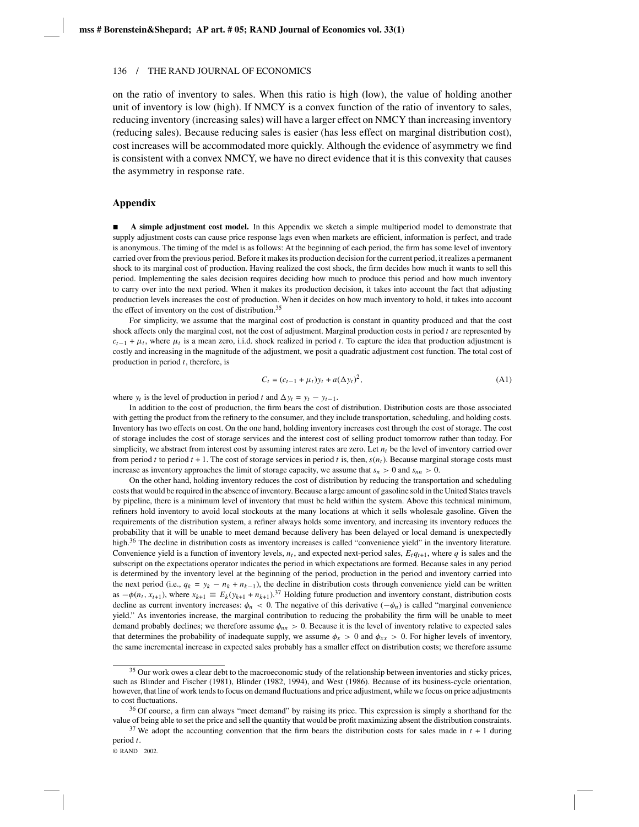on the ratio of inventory to sales. When this ratio is high (low), the value of holding another unit of inventory is low (high). If NMCY is a convex function of the ratio of inventory to sales, reducing inventory (increasing sales) will have a larger effect on NMCY than increasing inventory (reducing sales). Because reducing sales is easier (has less effect on marginal distribution cost), cost increases will be accommodated more quickly. Although the evidence of asymmetry we find is consistent with a convex NMCY, we have no direct evidence that it is this convexity that causes the asymmetry in response rate.

## **Appendix**

 **A simple adjustment cost model.** In this Appendix we sketch a simple multiperiod model to demonstrate that supply adjustment costs can cause price response lags even when markets are efficient, information is perfect, and trade is anonymous. The timing of the mdel is as follows: At the beginning of each period, the firm has some level of inventory carried over from the previous period. Before it makes its production decision for the current period, it realizes a permanent shock to its marginal cost of production. Having realized the cost shock, the firm decides how much it wants to sell this period. Implementing the sales decision requires deciding how much to produce this period and how much inventory to carry over into the next period. When it makes its production decision, it takes into account the fact that adjusting production levels increases the cost of production. When it decides on how much inventory to hold, it takes into account the effect of inventory on the cost of distribution.<sup>35</sup>

For simplicity, we assume that the marginal cost of production is constant in quantity produced and that the cost shock affects only the marginal cost, not the cost of adjustment. Marginal production costs in period *t* are represented by  $c_{t-1}$  +  $\mu_t$ , where  $\mu_t$  is a mean zero, i.i.d. shock realized in period *t*. To capture the idea that production adjustment is costly and increasing in the magnitude of the adjustment, we posit a quadratic adjustment cost function. The total cost of production in period *t*, therefore, is

$$
C_t = (c_{t-1} + \mu_t) y_t + a(\Delta y_t)^2,
$$
\n(A1)

where  $y_t$  is the level of production in period *t* and  $\Delta y_t = y_t - y_{t-1}$ .

In addition to the cost of production, the firm bears the cost of distribution. Distribution costs are those associated with getting the product from the refinery to the consumer, and they include transportation, scheduling, and holding costs. Inventory has two effects on cost. On the one hand, holding inventory increases cost through the cost of storage. The cost of storage includes the cost of storage services and the interest cost of selling product tomorrow rather than today. For simplicity, we abstract from interest cost by assuming interest rates are zero. Let  $n_t$  be the level of inventory carried over from period *t* to period  $t + 1$ . The cost of storage services in period  $t$  is, then,  $s(n_t)$ . Because marginal storage costs must increase as inventory approaches the limit of storage capacity, we assume that  $s_n > 0$  and  $s_{nn} > 0$ .

On the other hand, holding inventory reduces the cost of distribution by reducing the transportation and scheduling costs that would be required in the absence of inventory. Because a large amount of gasoline sold in the United States travels by pipeline, there is a minimum level of inventory that must be held within the system. Above this technical minimum, refiners hold inventory to avoid local stockouts at the many locations at which it sells wholesale gasoline. Given the requirements of the distribution system, a refiner always holds some inventory, and increasing its inventory reduces the probability that it will be unable to meet demand because delivery has been delayed or local demand is unexpectedly high.<sup>36</sup> The decline in distribution costs as inventory increases is called "convenience yield" in the inventory literature. Convenience yield is a function of inventory levels,  $n_t$ , and expected next-period sales,  $E_t q_{t+1}$ , where  $q$  is sales and the subscript on the expectations operator indicates the period in which expectations are formed. Because sales in any period is determined by the inventory level at the beginning of the period, production in the period and inventory carried into the next period (i.e.,  $q_k = y_k - n_k + n_{k-1}$ ), the decline in distribution costs through convenience yield can be written as  $-\phi(n_t, x_{t+1})$ , where  $x_{k+1} \equiv E_k(y_{k+1} + n_{k+1})$ .<sup>37</sup> Holding future production and inventory constant, distribution costs decline as current inventory increases:  $\phi_n < 0$ . The negative of this derivative  $(-\phi_n)$  is called "marginal convenience" yield." As inventories increase, the marginal contribution to reducing the probability the firm will be unable to meet demand probably declines; we therefore assume  $\phi_{nn} > 0$ . Because it is the level of inventory relative to expected sales that determines the probability of inadequate supply, we assume  $\phi_x > 0$  and  $\phi_{xx} > 0$ . For higher levels of inventory, the same incremental increase in expected sales probably has a smaller effect on distribution costs; we therefore assume

<sup>&</sup>lt;sup>35</sup> Our work owes a clear debt to the macroeconomic study of the relationship between inventories and sticky prices, such as Blinder and Fischer (1981), Blinder (1982, 1994), and West (1986). Because of its business-cycle orientation, however, that line of work tends to focus on demand fluctuations and price adjustment, while we focus on price adjustments to cost fluctuations.

<sup>&</sup>lt;sup>36</sup> Of course, a firm can always "meet demand" by raising its price. This expression is simply a shorthand for the value of being able to set the price and sell the quantity that would be profit maximizing absent the distribution constraints.

<sup>&</sup>lt;sup>37</sup> We adopt the accounting convention that the firm bears the distribution costs for sales made in  $t + 1$  during period *t*.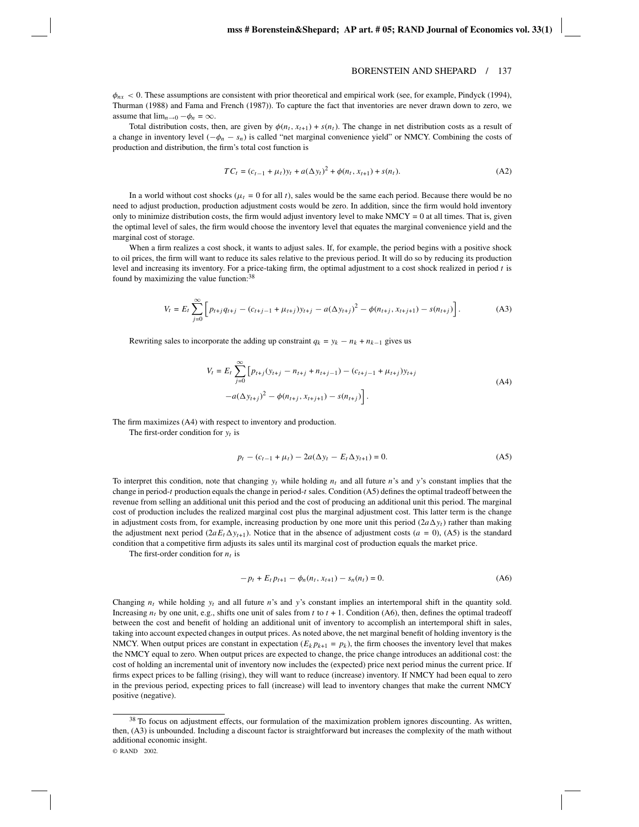$\phi_{nx}$  < 0. These assumptions are consistent with prior theoretical and empirical work (see, for example, Pindyck (1994), Thurman (1988) and Fama and French (1987)). To capture the fact that inventories are never drawn down to zero, we assume that  $\lim_{n\to 0} -\phi_n = \infty$ .

Total distribution costs, then, are given by  $\phi(n_t, x_{t+1}) + s(n_t)$ . The change in net distribution costs as a result of a change in inventory level  $(-\phi_n - s_n)$  is called "net marginal convenience yield" or NMCY. Combining the costs of production and distribution, the firm's total cost function is

$$
TC_t = (c_{t-1} + \mu_t) y_t + a(\Delta y_t)^2 + \phi(n_t, x_{t+1}) + s(n_t).
$$
 (A2)

In a world without cost shocks ( $\mu_t = 0$  for all t), sales would be the same each period. Because there would be no need to adjust production, production adjustment costs would be zero. In addition, since the firm would hold inventory only to minimize distribution costs, the firm would adjust inventory level to make  $NMCY = 0$  at all times. That is, given the optimal level of sales, the firm would choose the inventory level that equates the marginal convenience yield and the marginal cost of storage.

When a firm realizes a cost shock, it wants to adjust sales. If, for example, the period begins with a positive shock to oil prices, the firm will want to reduce its sales relative to the previous period. It will do so by reducing its production level and increasing its inventory. For a price-taking firm, the optimal adjustment to a cost shock realized in period *t* is found by maximizing the value function:<sup>38</sup>

$$
V_t = E_t \sum_{j=0}^{\infty} \left[ p_{t+j} q_{t+j} - (c_{t+j-1} + \mu_{t+j}) y_{t+j} - a(\Delta y_{t+j})^2 - \phi(n_{t+j}, x_{t+j+1}) - s(n_{t+j}) \right].
$$
 (A3)

Rewriting sales to incorporate the adding up constraint  $q_k = y_k - n_k + n_{k-1}$  gives us

$$
V_t = E_t \sum_{j=0}^{\infty} \left[ p_{t+j} (y_{t+j} - n_{t+j} + n_{t+j-1}) - (c_{t+j-1} + \mu_{t+j}) y_{t+j} \right]
$$
  
-
$$
a(\Delta y_{t+j})^2 - \phi(n_{t+j}, x_{t+j+1}) - s(n_{t+j}) \right].
$$
 (A4)

The firm maximizes (A4) with respect to inventory and production.

The first-order condition for *yt* is

$$
p_t - (c_{t-1} + \mu_t) - 2a(\Delta y_t - E_t \Delta y_{t+1}) = 0.
$$
 (A5)

To interpret this condition, note that changing  $y_t$  while holding  $n_t$  and all future *n*'s and *y*'s constant implies that the change in period-*t* production equals the change in period-*t* sales. Condition (A5) defines the optimal tradeoff between the revenue from selling an additional unit this period and the cost of producing an additional unit this period. The marginal cost of production includes the realized marginal cost plus the marginal adjustment cost. This latter term is the change in adjustment costs from, for example, increasing production by one more unit this period  $(2a\Delta y_t)$  rather than making the adjustment next period  $(2aE_t\Delta y_{t+1})$ . Notice that in the absence of adjustment costs  $(a = 0)$ ,  $(A5)$  is the standard condition that a competitive firm adjusts its sales until its marginal cost of production equals the market price.

The first-order condition for  $n_t$  is

$$
-p_t + E_t p_{t+1} - \phi_n(n_t, x_{t+1}) - s_n(n_t) = 0.
$$
 (A6)

Changing  $n_t$  while holding  $y_t$  and all future *n*'s and *y*'s constant implies an intertemporal shift in the quantity sold. Increasing  $n_t$  by one unit, e.g., shifts one unit of sales from  $t$  to  $t + 1$ . Condition (A6), then, defines the optimal tradeoff between the cost and benefit of holding an additional unit of inventory to accomplish an intertemporal shift in sales, taking into account expected changes in output prices. As noted above, the net marginal benefit of holding inventory is the NMCY. When output prices are constant in expectation  $(E_k p_{k+1} = p_k)$ , the firm chooses the inventory level that makes the NMCY equal to zero. When output prices are expected to change, the price change introduces an additional cost: the cost of holding an incremental unit of inventory now includes the (expected) price next period minus the current price. If firms expect prices to be falling (rising), they will want to reduce (increase) inventory. If NMCY had been equal to zero in the previous period, expecting prices to fall (increase) will lead to inventory changes that make the current NMCY positive (negative).

<sup>&</sup>lt;sup>38</sup> To focus on adjustment effects, our formulation of the maximization problem ignores discounting. As written, then, (A3) is unbounded. Including a discount factor is straightforward but increases the complexity of the math without additional economic insight.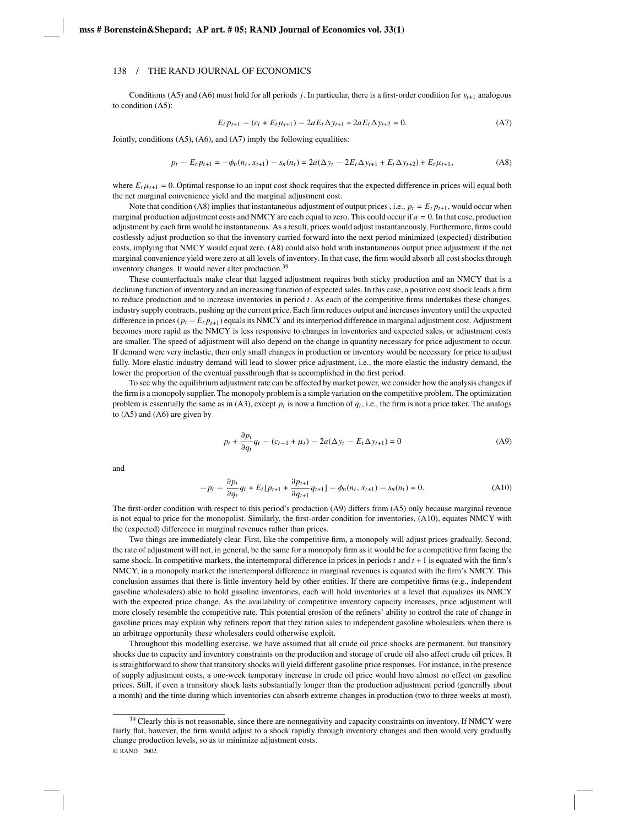Conditions (A5) and (A6) must hold for all periods *j*. In particular, there is a first-order condition for  $y_{t+1}$  analogous to condition (A5):

$$
E_t p_{t+1} - (c_t + E_t \mu_{t+1}) - 2a E_t \Delta y_{t+1} + 2a E_t \Delta y_{t+2} = 0.
$$
 (A7)

Jointly, conditions (A5), (A6), and (A7) imply the following equalities:

$$
p_t - E_t p_{t+1} = -\phi_n(n_t, x_{t+1}) - s_n(n_t) = 2a(\Delta y_t - 2E_t \Delta y_{t+1} + E_t \Delta y_{t+2}) + E_t \mu_{t+1},
$$
(A8)

where  $E_t\mu_{t+1} = 0$ . Optimal response to an input cost shock requires that the expected difference in prices will equal both the net marginal convenience yield and the marginal adjustment cost.

Note that condition (A8) implies that instantaneous adjustment of output prices , i.e.,  $p_t = E_t p_{t+1}$ , would occur when marginal production adjustment costs and NMCY are each equal to zero. This could occur if *a* = 0. In that case, production adjustment by each firm would be instantaneous. As a result, prices would adjust instantaneously. Furthermore, firms could costlessly adjust production so that the inventory carried forward into the next period minimized (expected) distribution costs, implying that NMCY would equal zero. (A8) could also hold with instantaneous output price adjustment if the net marginal convenience yield were zero at all levels of inventory. In that case, the firm would absorb all cost shocks through inventory changes. It would never alter production.<sup>39</sup>

These counterfactuals make clear that lagged adjustment requires both sticky production and an NMCY that is a declining function of inventory and an increasing function of expected sales. In this case, a positive cost shock leads a firm to reduce production and to increase inventories in period *t*. As each of the competitive firms undertakes these changes, industry supply contracts, pushing up the current price. Each firm reduces output and increases inventory until the expected difference in prices (*pt* − *Et pt*+1) equals its NMCY and its interperiod difference in marginal adjustment cost. Adjustment becomes more rapid as the NMCY is less responsive to changes in inventories and expected sales, or adjustment costs are smaller. The speed of adjustment will also depend on the change in quantity necessary for price adjustment to occur. If demand were very inelastic, then only small changes in production or inventory would be necessary for price to adjust fully. More elastic industry demand will lead to slower price adjustment, i.e., the more elastic the industry demand, the lower the proportion of the eventual passthrough that is accomplished in the first period.

To see why the equilibrium adjustment rate can be affected by market power, we consider how the analysis changes if the firm is a monopoly supplier. The monopoly problem is a simple variation on the competitive problem. The optimization problem is essentially the same as in  $(A3)$ , except  $p_t$  is now a function of  $q_t$ , i.e., the firm is not a price taker. The analogs to  $(A5)$  and  $(A6)$  are given by

$$
p_t + \frac{\partial p_t}{\partial q_t} q_t - (c_{t-1} + \mu_t) - 2a(\Delta y_t - E_t \Delta y_{t+1}) = 0
$$
 (A9)

and

$$
-p_t - \frac{\partial p_t}{\partial q_t} q_t + E_t[p_{t+1} + \frac{\partial p_{t+1}}{\partial q_{t+1}} q_{t+1}] - \phi_n(n_t, x_{t+1}) - s_n(n_t) = 0.
$$
 (A10)

The first-order condition with respect to this period's production (A9) differs from (A5) only because marginal revenue is not equal to price for the monopolist. Similarly, the first-order condition for inventories, (A10), equates NMCY with the (expected) difference in marginal revenues rather than prices.

Two things are immediately clear. First, like the competitive firm, a monopoly will adjust prices gradually. Second, the rate of adjustment will not, in general, be the same for a monopoly firm as it would be for a competitive firm facing the same shock. In competitive markets, the intertemporal difference in prices in periods  $t$  and  $t + 1$  is equated with the firm's NMCY; in a monopoly market the intertemporal difference in marginal revenues is equated with the firm's NMCY. This conclusion assumes that there is little inventory held by other entities. If there are competitive firms (e.g., independent gasoline wholesalers) able to hold gasoline inventories, each will hold inventories at a level that equalizes its NMCY with the expected price change. As the availability of competitive inventory capacity increases, price adjustment will more closely resemble the competitive rate. This potential erosion of the refiners' ability to control the rate of change in gasoline prices may explain why refiners report that they ration sales to independent gasoline wholesalers when there is an arbitrage opportunity these wholesalers could otherwise exploit.

Throughout this modelling exercise, we have assumed that all crude oil price shocks are permanent, but transitory shocks due to capacity and inventory constraints on the production and storage of crude oil also affect crude oil prices. It is straightforward to show that transitory shocks will yield different gasoline price responses. For instance, in the presence of supply adjustment costs, a one-week temporary increase in crude oil price would have almost no effect on gasoline prices. Still, if even a transitory shock lasts substantially longer than the production adjustment period (generally about a month) and the time during which inventories can absorb extreme changes in production (two to three weeks at most),

<sup>&</sup>lt;sup>39</sup> Clearly this is not reasonable, since there are nonnegativity and capacity constraints on inventory. If NMCY were fairly flat, however, the firm would adjust to a shock rapidly through inventory changes and then would very gradually change production levels, so as to minimize adjustment costs. © RAND 2002.